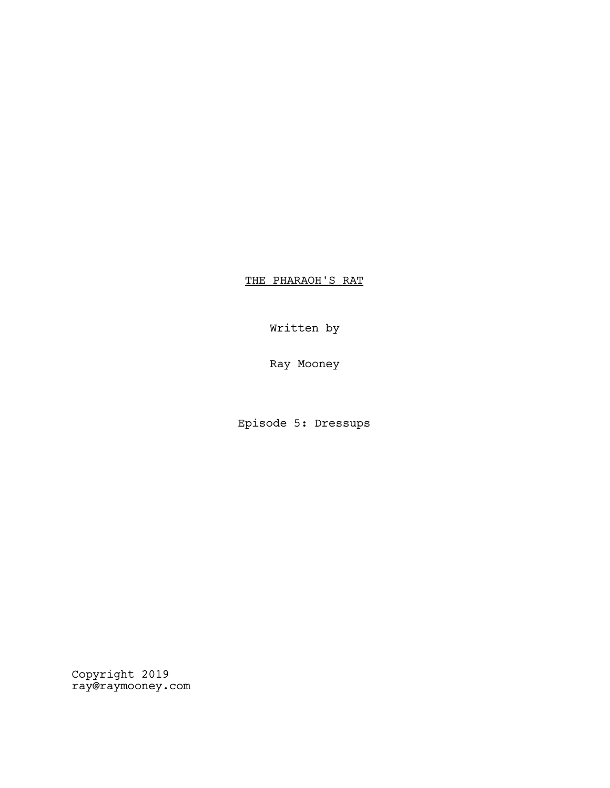THE PHARAOH'S RAT

Written by

Ray Mooney

Episode 5: Dressups

Copyright 2019 ray@raymooney.com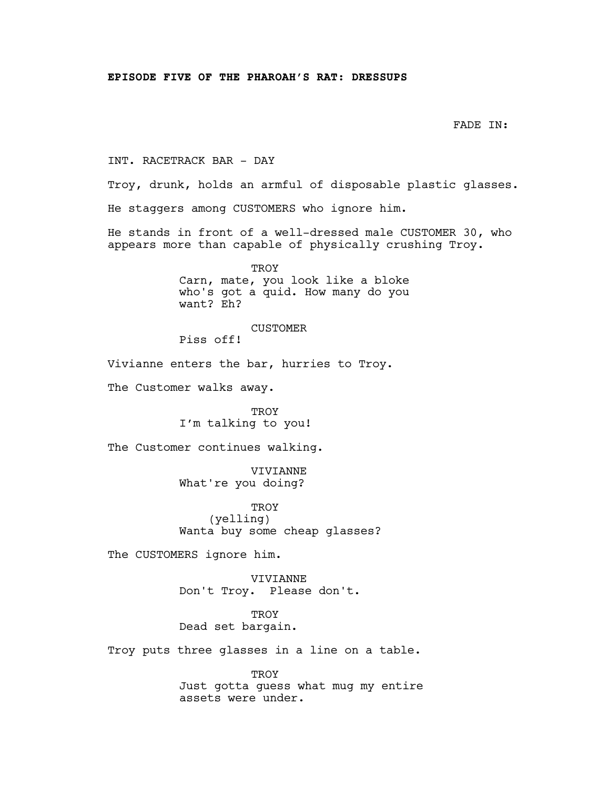```
FADE IN:
```
INT. RACETRACK BAR - DAY

Troy, drunk, holds an armful of disposable plastic glasses.

He staggers among CUSTOMERS who ignore him.

He stands in front of a well-dressed male CUSTOMER 30, who appears more than capable of physically crushing Troy.

> **TROY** Carn, mate, you look like a bloke who's got a quid. How many do you want? Eh?

> > CUSTOMER

Piss off!

Vivianne enters the bar, hurries to Troy.

The Customer walks away.

TROY I'm talking to you!

The Customer continues walking.

VIVIANNE What're you doing?

**TROY** (yelling) Wanta buy some cheap glasses?

The CUSTOMERS ignore him.

VIVIANNE Don't Troy. Please don't.

**TROY** Dead set bargain.

Troy puts three glasses in a line on a table.

TROY Just gotta guess what mug my entire assets were under.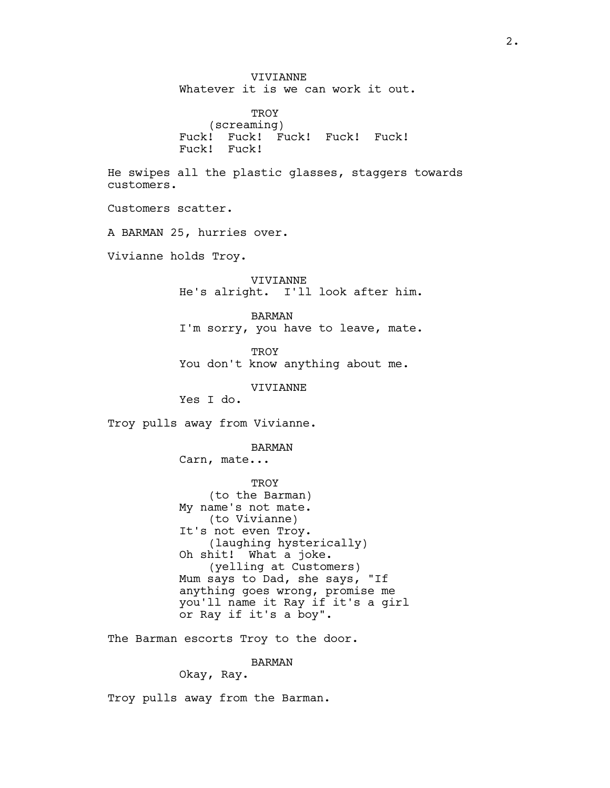VIVIANNE Whatever it is we can work it out. **TROY** (screaming) Fuck! Fuck! Fuck! Fuck! Fuck! Fuck! Fuck! He swipes all the plastic glasses, staggers towards customers. Customers scatter. A BARMAN 25, hurries over. Vivianne holds Troy. VIVIANNE He's alright. I'll look after him. BARMAN I'm sorry, you have to leave, mate. **TROY** You don't know anything about me. VIVIANNE Yes I do. Troy pulls away from Vivianne. BARMAN Carn, mate... **TROY** (to the Barman) My name's not mate. (to Vivianne) It's not even Troy. (laughing hysterically) Oh shit! What a joke. (yelling at Customers) Mum says to Dad, she says, "If anything goes wrong, promise me you'll name it Ray if it's a girl or Ray if it's a boy". The Barman escorts Troy to the door. BARMAN Okay, Ray.

Troy pulls away from the Barman.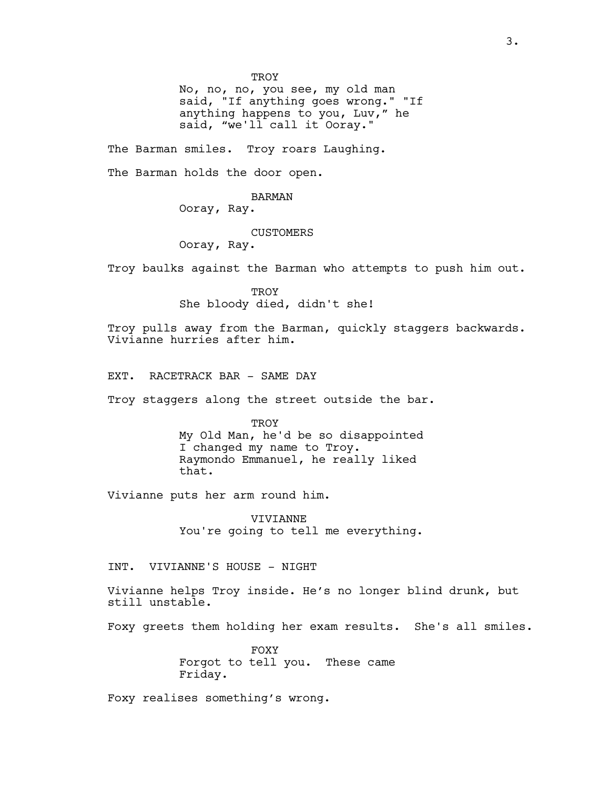TROY

No, no, no, you see, my old man said, "If anything goes wrong." "If anything happens to you, Luv," he said, "we'll call it Ooray."

The Barman smiles. Troy roars Laughing.

The Barman holds the door open.

# BARMAN

Ooray, Ray.

# **CUSTOMERS**

Ooray, Ray.

Troy baulks against the Barman who attempts to push him out.

**TROY** She bloody died, didn't she!

Troy pulls away from the Barman, quickly staggers backwards. Vivianne hurries after him.

EXT. RACETRACK BAR - SAME DAY

Troy staggers along the street outside the bar.

TROY My Old Man, he'd be so disappointed I changed my name to Troy. Raymondo Emmanuel, he really liked that.

Vivianne puts her arm round him.

VIVIANNE You're going to tell me everything.

INT. VIVIANNE'S HOUSE - NIGHT

Vivianne helps Troy inside. He's no longer blind drunk, but still unstable.

Foxy greets them holding her exam results. She's all smiles.

FOXY Forgot to tell you. These came Friday.

Foxy realises something's wrong.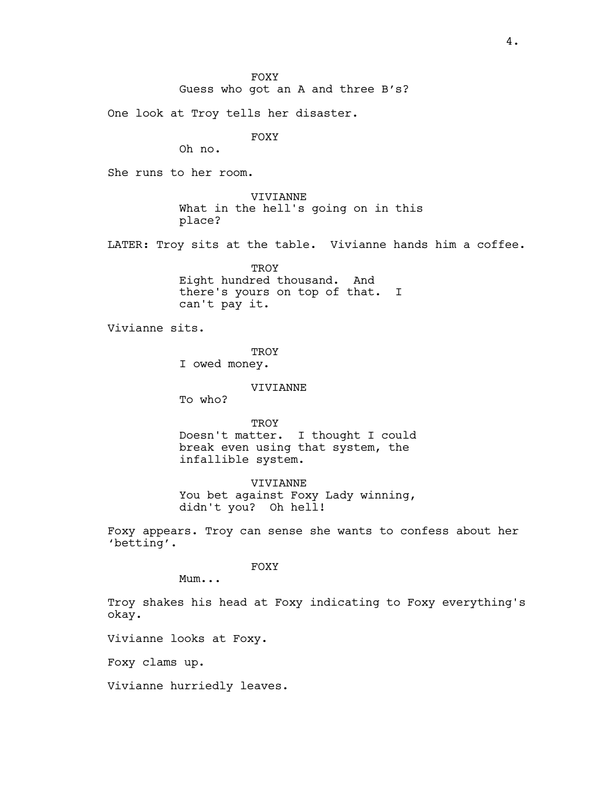One look at Troy tells her disaster.

FOXY

Oh no.

She runs to her room.

VIVIANNE What in the hell's going on in this place?

LATER: Troy sits at the table. Vivianne hands him a coffee.

**TROY** Eight hundred thousand. And there's yours on top of that. I can't pay it.

Vivianne sits.

**TROY** I owed money.

#### VIVIANNE

To who?

TROY Doesn't matter. I thought I could break even using that system, the infallible system.

VIVIANNE You bet against Foxy Lady winning, didn't you? Oh hell!

Foxy appears. Troy can sense she wants to confess about her 'betting'.

FOXY

Mum...

Troy shakes his head at Foxy indicating to Foxy everything's okay.

Vivianne looks at Foxy.

Foxy clams up.

Vivianne hurriedly leaves.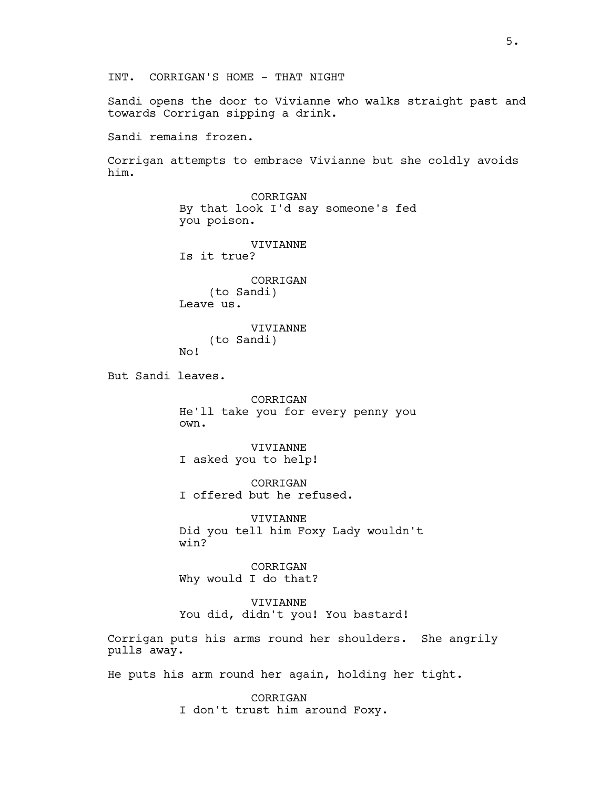Sandi opens the door to Vivianne who walks straight past and towards Corrigan sipping a drink.

Sandi remains frozen.

Corrigan attempts to embrace Vivianne but she coldly avoids him.

CORRIGAN By that look I'd say someone's fed you poison. VIVIANNE Is it true? CORRIGAN (to Sandi) Leave us. VIVIANNE (to Sandi) No! But Sandi leaves. CORRIGAN He'll take you for every penny you own. VIVIANNE I asked you to help! CORRIGAN I offered but he refused. VIVIANNE Did you tell him Foxy Lady wouldn't win? CORRIGAN Why would I do that? VIVIANNE You did, didn't you! You bastard! Corrigan puts his arms round her shoulders. She angrily pulls away. He puts his arm round her again, holding her tight. CORRIGAN

I don't trust him around Foxy.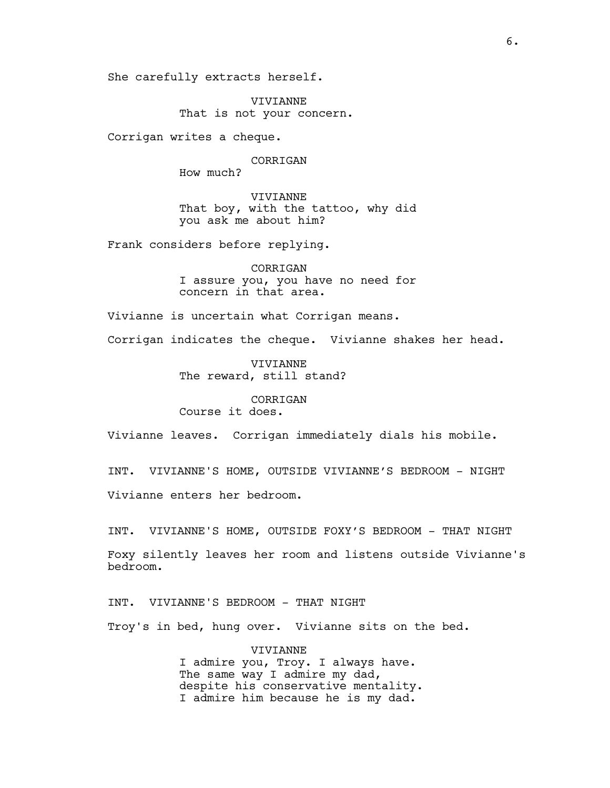She carefully extracts herself.

VIVIANNE That is not your concern.

Corrigan writes a cheque.

### CORRIGAN

How much?

VIVIANNE That boy, with the tattoo, why did you ask me about him?

Frank considers before replying.

CORRIGAN I assure you, you have no need for concern in that area.

Vivianne is uncertain what Corrigan means.

Corrigan indicates the cheque. Vivianne shakes her head.

VIVIANNE The reward, still stand?

# CORRIGAN Course it does.

Vivianne leaves. Corrigan immediately dials his mobile.

INT. VIVIANNE'S HOME, OUTSIDE VIVIANNE'S BEDROOM - NIGHT Vivianne enters her bedroom.

INT. VIVIANNE'S HOME, OUTSIDE FOXY'S BEDROOM - THAT NIGHT

Foxy silently leaves her room and listens outside Vivianne's bedroom.

INT. VIVIANNE'S BEDROOM - THAT NIGHT

Troy's in bed, hung over. Vivianne sits on the bed.

VIVIANNE I admire you, Troy. I always have. The same way I admire my dad, despite his conservative mentality. I admire him because he is my dad.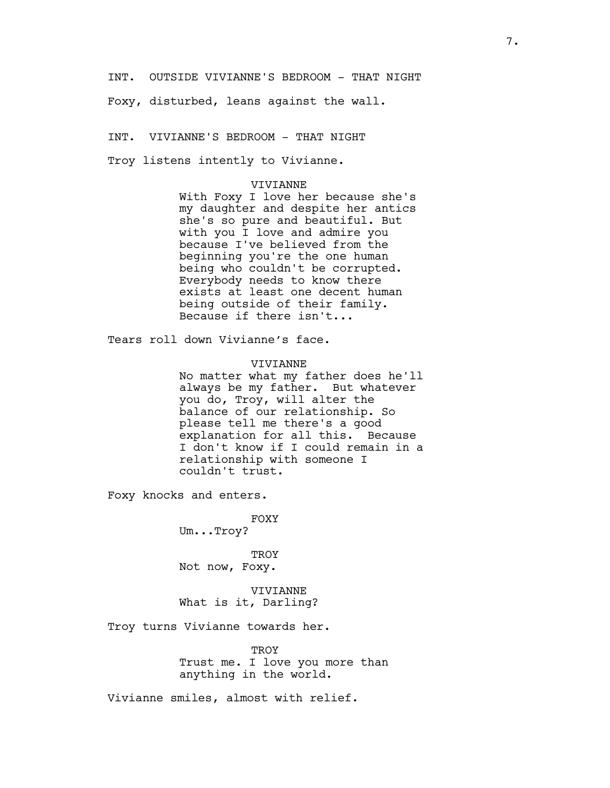INT. OUTSIDE VIVIANNE'S BEDROOM - THAT NIGHT

Foxy, disturbed, leans against the wall.

INT. VIVIANNE'S BEDROOM - THAT NIGHT

Troy listens intently to Vivianne.

# VIVIANNE

With Foxy I love her because she's my daughter and despite her antics she's so pure and beautiful. But with you I love and admire you because I've believed from the beginning you're the one human being who couldn't be corrupted. Everybody needs to know there exists at least one decent human being outside of their family. Because if there isn't...

Tears roll down Vivianne's face.

### VIVIANNE

No matter what my father does he'll always be my father. But whatever you do, Troy, will alter the balance of our relationship. So please tell me there's a good explanation for all this. Because I don't know if I could remain in a relationship with someone I couldn't trust.

Foxy knocks and enters.

FOXY Um...Troy?

**TROY** Not now, Foxy.

VIVIANNE What is it, Darling?

Troy turns Vivianne towards her.

**TROY** Trust me. I love you more than anything in the world.

Vivianne smiles, almost with relief.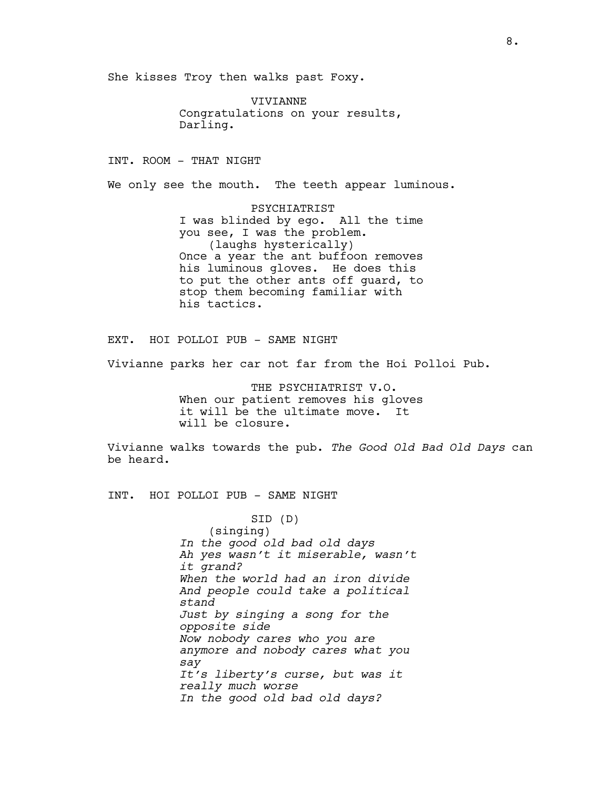She kisses Troy then walks past Foxy.

VIVIANNE Congratulations on your results, Darling.

INT. ROOM - THAT NIGHT

We only see the mouth. The teeth appear luminous.

PSYCHIATRIST I was blinded by ego. All the time you see, I was the problem. (laughs hysterically) Once a year the ant buffoon removes his luminous gloves. He does this to put the other ants off guard, to stop them becoming familiar with his tactics.

EXT. HOI POLLOI PUB - SAME NIGHT

Vivianne parks her car not far from the Hoi Polloi Pub.

THE PSYCHIATRIST V.O. When our patient removes his gloves it will be the ultimate move. It will be closure.

Vivianne walks towards the pub. The Good Old Bad Old Days can be heard.

INT. HOI POLLOI PUB - SAME NIGHT

SID (D) (singing) In the good old bad old days Ah yes wasn't it miserable, wasn't it grand? When the world had an iron divide And people could take a political stand Just by singing a song for the opposite side Now nobody cares who you are anymore and nobody cares what you say It's liberty's curse, but was it really much worse In the good old bad old days?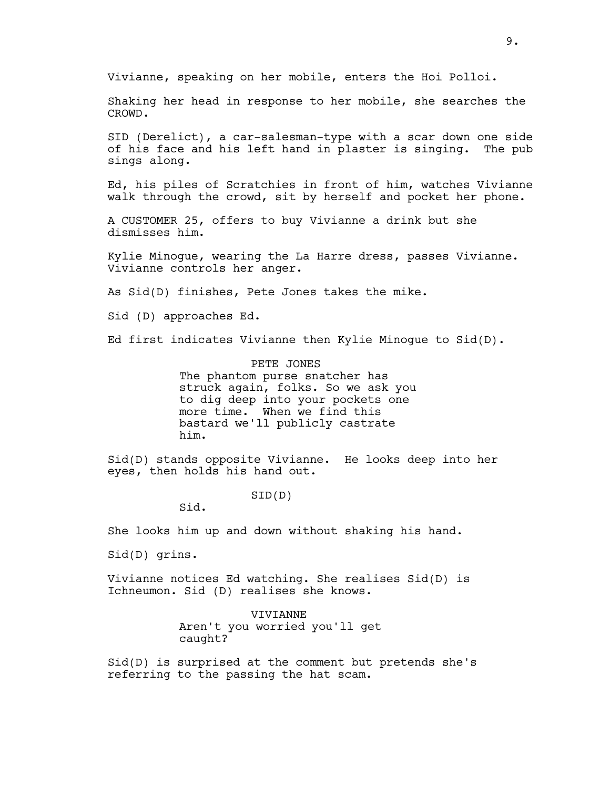Vivianne, speaking on her mobile, enters the Hoi Polloi.

Shaking her head in response to her mobile, she searches the CROWD.

SID (Derelict), a car-salesman-type with a scar down one side of his face and his left hand in plaster is singing. The pub sings along.

Ed, his piles of Scratchies in front of him, watches Vivianne walk through the crowd, sit by herself and pocket her phone.

A CUSTOMER 25, offers to buy Vivianne a drink but she dismisses him.

Kylie Minogue, wearing the La Harre dress, passes Vivianne. Vivianne controls her anger.

As Sid(D) finishes, Pete Jones takes the mike.

Sid (D) approaches Ed.

Ed first indicates Vivianne then Kylie Minogue to Sid(D).

PETE JONES The phantom purse snatcher has struck again, folks. So we ask you to dig deep into your pockets one more time. When we find this bastard we'll publicly castrate him.

Sid(D) stands opposite Vivianne. He looks deep into her eyes, then holds his hand out.

SID(D)

Sid.

She looks him up and down without shaking his hand.

Sid(D) grins.

Vivianne notices Ed watching. She realises Sid(D) is Ichneumon. Sid (D) realises she knows.

> VIVIANNE Aren't you worried you'll get caught?

Sid(D) is surprised at the comment but pretends she's referring to the passing the hat scam.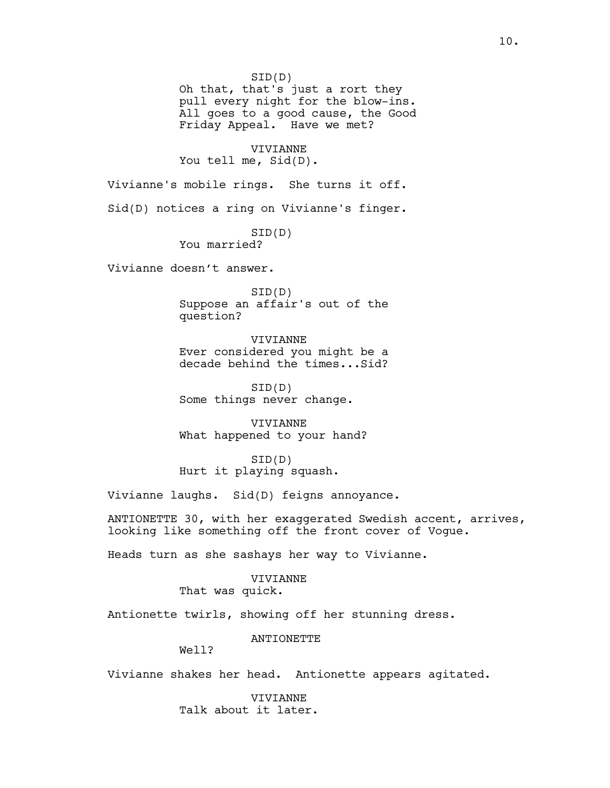SID(D) Oh that, that's just a rort they pull every night for the blow-ins. All goes to a good cause, the Good Friday Appeal. Have we met? VIVIANNE You tell me, Sid(D). Vivianne's mobile rings. She turns it off. Sid(D) notices a ring on Vivianne's finger. SID(D) You married? Vivianne doesn't answer. SID(D) Suppose an affair's out of the question? VIVIANNE Ever considered you might be a decade behind the times...Sid? SID(D) Some things never change. VIVIANNE What happened to your hand? SID(D) Hurt it playing squash. Vivianne laughs. Sid(D) feigns annoyance. ANTIONETTE 30, with her exaggerated Swedish accent, arrives, looking like something off the front cover of Vogue. Heads turn as she sashays her way to Vivianne. VIVIANNE That was quick. Antionette twirls, showing off her stunning dress.

ANTIONETTE

Well?

Vivianne shakes her head. Antionette appears agitated.

VIVIANNE Talk about it later.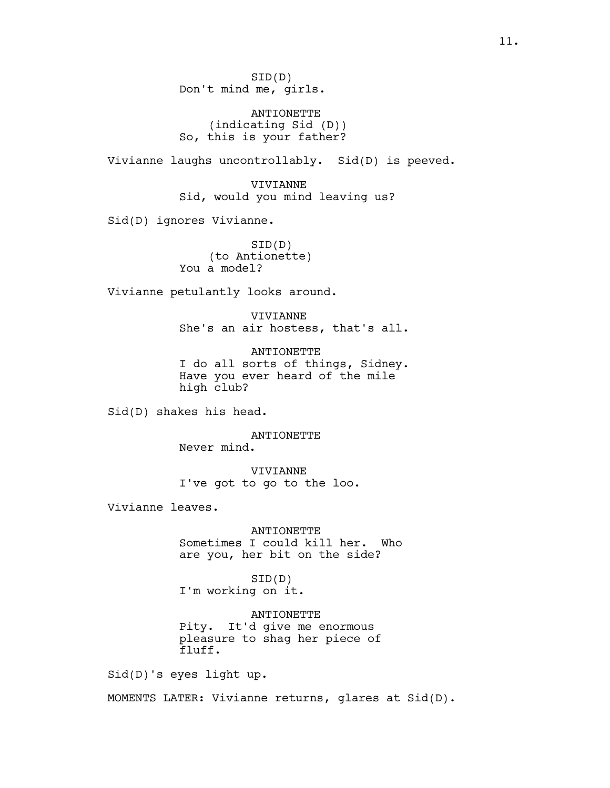SID(D) Don't mind me, girls.

ANTIONETTE (indicating Sid (D)) So, this is your father?

Vivianne laughs uncontrollably. Sid(D) is peeved.

VIVIANNE Sid, would you mind leaving us?

Sid(D) ignores Vivianne.

SID(D) (to Antionette) You a model?

Vivianne petulantly looks around.

VIVIANNE She's an air hostess, that's all.

ANTIONETTE I do all sorts of things, Sidney. Have you ever heard of the mile high club?

Sid(D) shakes his head.

ANTIONETTE Never mind.

VIVIANNE I've got to go to the loo.

Vivianne leaves.

ANTIONETTE Sometimes I could kill her. Who are you, her bit on the side?

SID(D) I'm working on it.

ANTIONETTE Pity. It'd give me enormous pleasure to shag her piece of fluff.

Sid(D)'s eyes light up.

MOMENTS LATER: Vivianne returns, glares at Sid(D).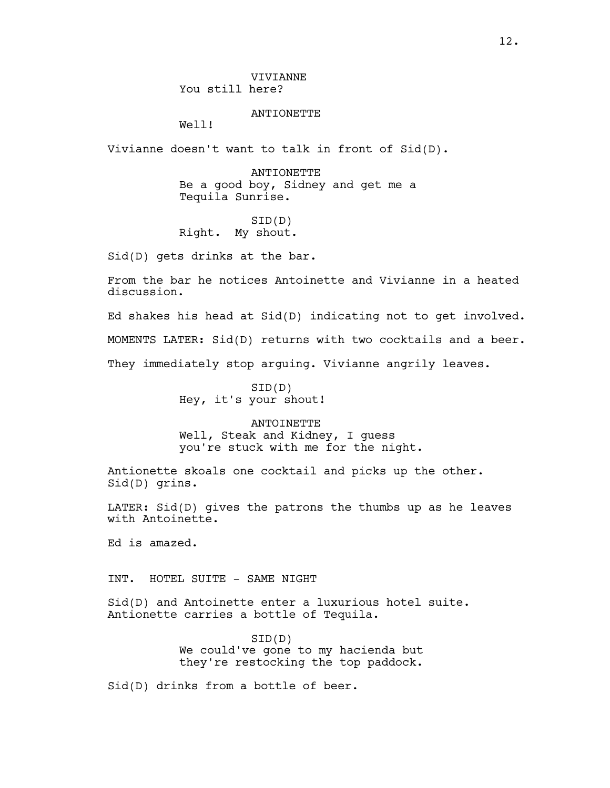**VIVIANNE** You still here?

ANTIONETTE

Well!

Vivianne doesn't want to talk in front of Sid(D).

ANTIONETTE Be a good boy, Sidney and get me a Tequila Sunrise.

SID(D) Right. My shout.

Sid(D) gets drinks at the bar.

From the bar he notices Antoinette and Vivianne in a heated discussion.

Ed shakes his head at Sid(D) indicating not to get involved. MOMENTS LATER: Sid(D) returns with two cocktails and a beer. They immediately stop arguing. Vivianne angrily leaves.

> SID(D) Hey, it's your shout!

**ANTOINETTE** Well, Steak and Kidney, I guess you're stuck with me for the night.

Antionette skoals one cocktail and picks up the other. Sid(D) grins.

LATER: Sid(D) gives the patrons the thumbs up as he leaves with Antoinette.

Ed is amazed.

INT. HOTEL SUITE - SAME NIGHT

Sid(D) and Antoinette enter a luxurious hotel suite. Antionette carries a bottle of Tequila.

> SID(D) We could've gone to my hacienda but they're restocking the top paddock.

Sid(D) drinks from a bottle of beer.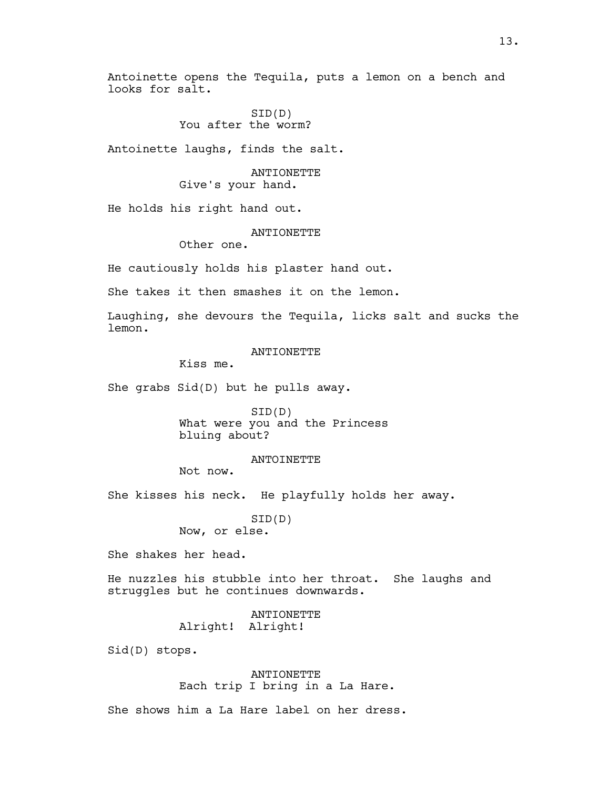Antoinette opens the Tequila, puts a lemon on a bench and looks for salt.

> SID(D) You after the worm?

Antoinette laughs, finds the salt.

# ANTIONETTE Give's your hand.

He holds his right hand out.

# **ANTIONETTE**

Other one.

He cautiously holds his plaster hand out.

She takes it then smashes it on the lemon.

Laughing, she devours the Tequila, licks salt and sucks the lemon.

#### ANTIONETTE

Kiss me.

She grabs Sid(D) but he pulls away.

SID(D) What were you and the Princess bluing about?

#### ANTOINETTE

Not now.

She kisses his neck. He playfully holds her away.

SID(D) Now, or else.

She shakes her head.

He nuzzles his stubble into her throat. She laughs and struggles but he continues downwards.

> ANTIONETTE Alright! Alright!

Sid(D) stops.

ANTIONETTE Each trip I bring in a La Hare.

She shows him a La Hare label on her dress.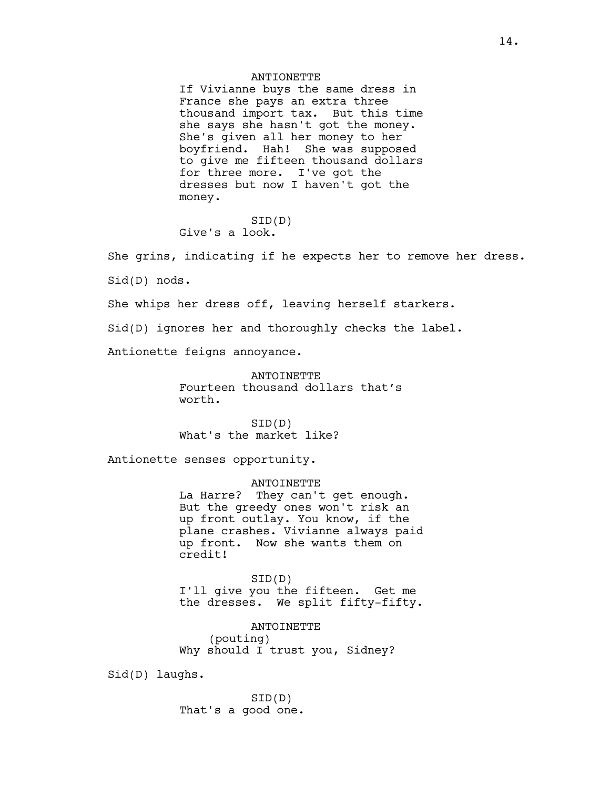# ANTIONETTE

If Vivianne buys the same dress in France she pays an extra three thousand import tax. But this time she says she hasn't got the money. She's given all her money to her boyfriend. Hah! She was supposed to give me fifteen thousand dollars for three more. I've got the dresses but now I haven't got the money.

SID(D) Give's a look.

She grins, indicating if he expects her to remove her dress. Sid(D) nods. She whips her dress off, leaving herself starkers.

Sid(D) ignores her and thoroughly checks the label.

Antionette feigns annoyance.

ANTOINETTE Fourteen thousand dollars that's worth.

SID(D) What's the market like?

Antionette senses opportunity.

ANTOINETTE La Harre? They can't get enough. But the greedy ones won't risk an up front outlay. You know, if the plane crashes. Vivianne always paid up front. Now she wants them on credit!

SID(D) I'll give you the fifteen. Get me the dresses. We split fifty-fifty.

ANTOINETTE (pouting) Why should I trust you, Sidney?

Sid(D) laughs.

SID(D) That's a good one.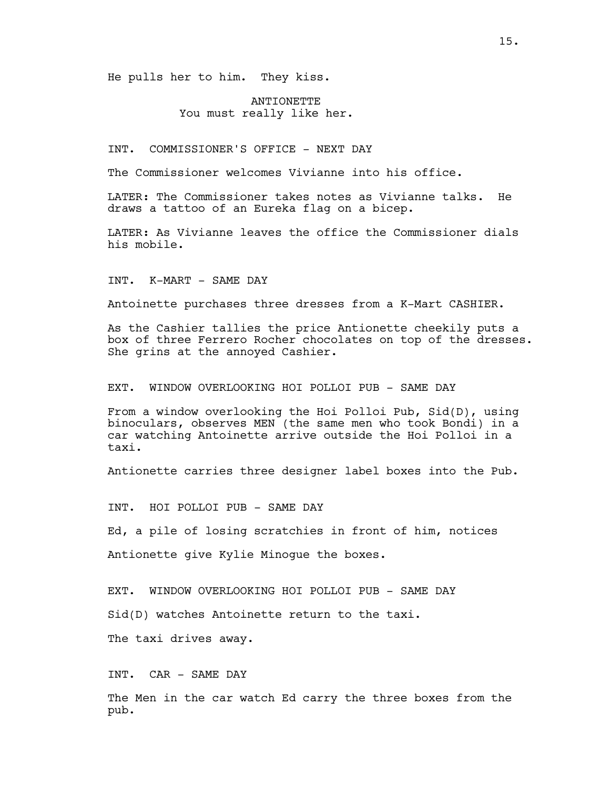He pulls her to him. They kiss.

# ANTIONETTE You must really like her.

INT. COMMISSIONER'S OFFICE - NEXT DAY

The Commissioner welcomes Vivianne into his office.

LATER: The Commissioner takes notes as Vivianne talks. He draws a tattoo of an Eureka flag on a bicep.

LATER: As Vivianne leaves the office the Commissioner dials his mobile.

INT. K-MART - SAME DAY

Antoinette purchases three dresses from a K-Mart CASHIER.

As the Cashier tallies the price Antionette cheekily puts a box of three Ferrero Rocher chocolates on top of the dresses. She grins at the annoyed Cashier.

EXT. WINDOW OVERLOOKING HOI POLLOI PUB - SAME DAY

From a window overlooking the Hoi Polloi Pub, Sid(D), using binoculars, observes MEN (the same men who took Bondi) in a car watching Antoinette arrive outside the Hoi Polloi in a taxi.

Antionette carries three designer label boxes into the Pub.

INT. HOI POLLOI PUB - SAME DAY

Ed, a pile of losing scratchies in front of him, notices

Antionette give Kylie Minogue the boxes.

EXT. WINDOW OVERLOOKING HOI POLLOI PUB - SAME DAY

Sid(D) watches Antoinette return to the taxi.

The taxi drives away.

INT. CAR - SAME DAY

The Men in the car watch Ed carry the three boxes from the pub.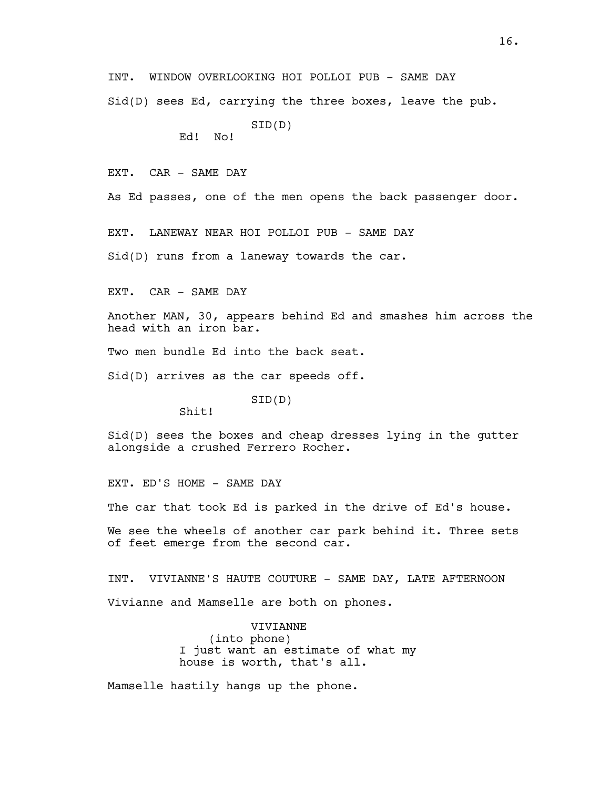INT. WINDOW OVERLOOKING HOI POLLOI PUB - SAME DAY

Sid(D) sees Ed, carrying the three boxes, leave the pub.

SID(D) Ed! No!

EXT. CAR - SAME DAY

As Ed passes, one of the men opens the back passenger door.

EXT. LANEWAY NEAR HOI POLLOI PUB - SAME DAY

Sid(D) runs from a laneway towards the car.

EXT. CAR - SAME DAY

Another MAN, 30, appears behind Ed and smashes him across the head with an iron bar.

Two men bundle Ed into the back seat.

Sid(D) arrives as the car speeds off.

SID(D)

Shit!

Sid(D) sees the boxes and cheap dresses lying in the gutter alongside a crushed Ferrero Rocher.

EXT. ED'S HOME - SAME DAY

The car that took Ed is parked in the drive of Ed's house.

We see the wheels of another car park behind it. Three sets of feet emerge from the second car.

INT. VIVIANNE'S HAUTE COUTURE - SAME DAY, LATE AFTERNOON Vivianne and Mamselle are both on phones.

> VIVIANNE (into phone) I just want an estimate of what my house is worth, that's all.

Mamselle hastily hangs up the phone.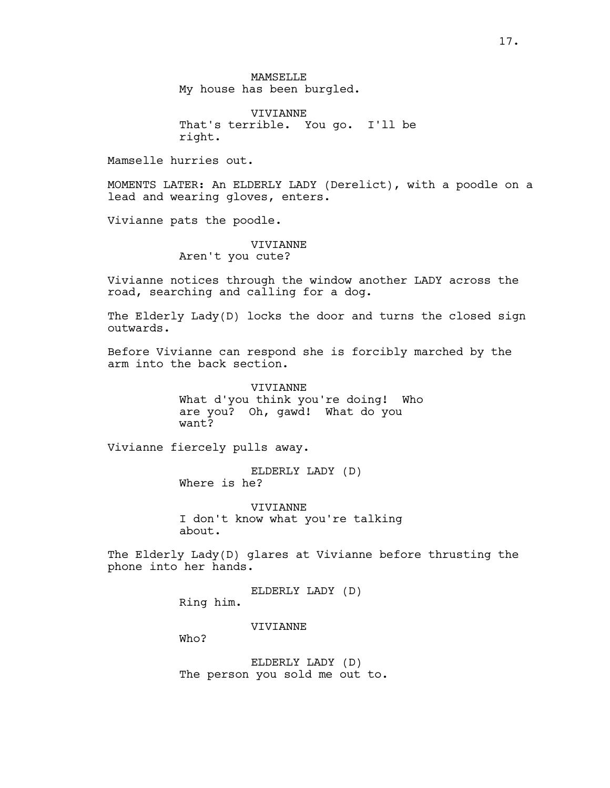**MAMSELLE** My house has been burgled.

VIVIANNE That's terrible. You go. I'll be right.

Mamselle hurries out.

MOMENTS LATER: An ELDERLY LADY (Derelict), with a poodle on a lead and wearing gloves, enters.

Vivianne pats the poodle.

# VIVIANNE Aren't you cute?

Vivianne notices through the window another LADY across the road, searching and calling for a dog.

The Elderly Lady(D) locks the door and turns the closed sign outwards.

Before Vivianne can respond she is forcibly marched by the arm into the back section.

> VIVIANNE What d'you think you're doing! Who are you? Oh, gawd! What do you want?

Vivianne fiercely pulls away.

ELDERLY LADY (D) Where is he?

VIVIANNE I don't know what you're talking about.

The Elderly Lady(D) glares at Vivianne before thrusting the phone into her hands.

ELDERLY LADY (D)

Ring him.

**VIVIANNE** 

Who?

ELDERLY LADY (D) The person you sold me out to.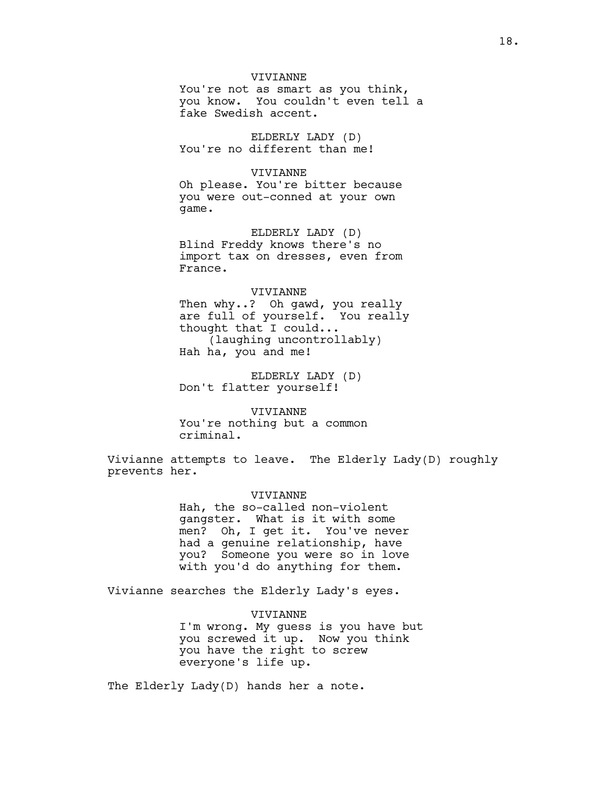# VIVIANNE

You're not as smart as you think, you know. You couldn't even tell a fake Swedish accent.

ELDERLY LADY (D) You're no different than me!

# VIVIANNE

Oh please. You're bitter because you were out-conned at your own game.

ELDERLY LADY (D) Blind Freddy knows there's no import tax on dresses, even from France.

#### VIVIANNE

Then why..? Oh gawd, you really are full of yourself. You really thought that I could... (laughing uncontrollably) Hah ha, you and me!

ELDERLY LADY (D) Don't flatter yourself!

VIVIANNE You're nothing but a common criminal.

Vivianne attempts to leave. The Elderly Lady(D) roughly prevents her.

### VIVIANNE

Hah, the so-called non-violent gangster. What is it with some men? Oh, I get it. You've never had a genuine relationship, have you? Someone you were so in love with you'd do anything for them.

Vivianne searches the Elderly Lady's eyes.

VIVIANNE I'm wrong. My guess is you have but you screwed it up. Now you think you have the right to screw everyone's life up.

The Elderly Lady(D) hands her a note.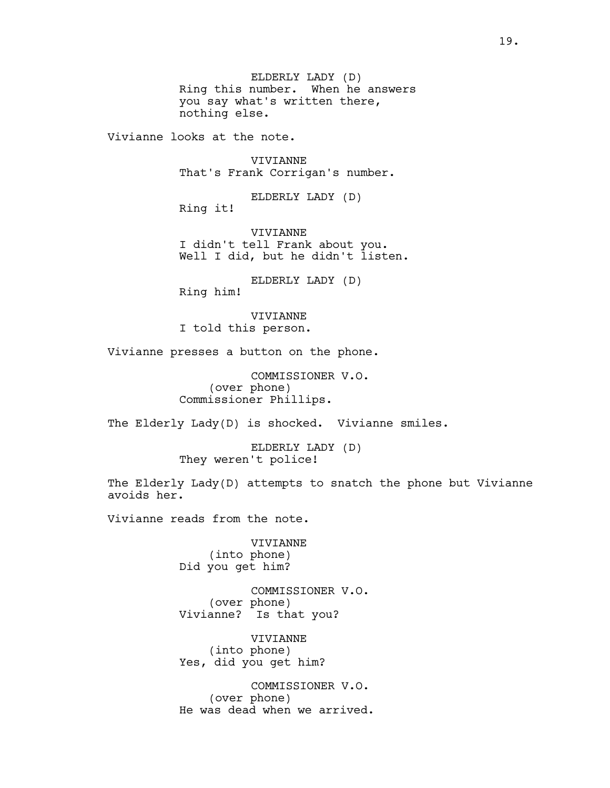ELDERLY LADY (D) Ring this number. When he answers you say what's written there, nothing else.

Vivianne looks at the note.

VIVIANNE That's Frank Corrigan's number.

ELDERLY LADY (D)

Ring it!

VIVIANNE I didn't tell Frank about you. Well I did, but he didn't listen.

ELDERLY LADY (D)

Ring him!

VIVIANNE I told this person.

Vivianne presses a button on the phone.

COMMISSIONER V.O. (over phone) Commissioner Phillips.

The Elderly Lady(D) is shocked. Vivianne smiles.

ELDERLY LADY (D) They weren't police!

The Elderly Lady(D) attempts to snatch the phone but Vivianne avoids her.

Vivianne reads from the note.

VIVIANNE (into phone) Did you get him?

COMMISSIONER V.O. (over phone) Vivianne? Is that you?

VIVIANNE (into phone) Yes, did you get him?

COMMISSIONER V.O. (over phone) He was dead when we arrived.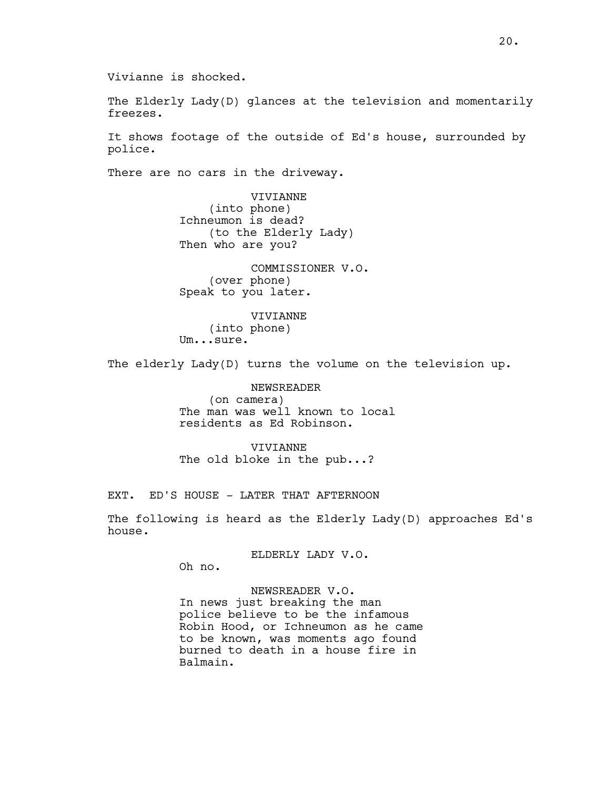The Elderly Lady(D) glances at the television and momentarily freezes.

It shows footage of the outside of Ed's house, surrounded by police.

There are no cars in the driveway.

VIVIANNE (into phone) Ichneumon is dead? (to the Elderly Lady) Then who are you?

COMMISSIONER V.O. (over phone) Speak to you later.

VIVIANNE (into phone) Um...sure.

The elderly Lady(D) turns the volume on the television up.

NEWSREADER (on camera) The man was well known to local residents as Ed Robinson.

VIVIANNE The old bloke in the pub...?

EXT. ED'S HOUSE - LATER THAT AFTERNOON

The following is heard as the Elderly Lady(D) approaches Ed's house.

ELDERLY LADY V.O.

Oh no.

# NEWSREADER V.O.

In news just breaking the man police believe to be the infamous Robin Hood, or Ichneumon as he came to be known, was moments ago found burned to death in a house fire in Balmain.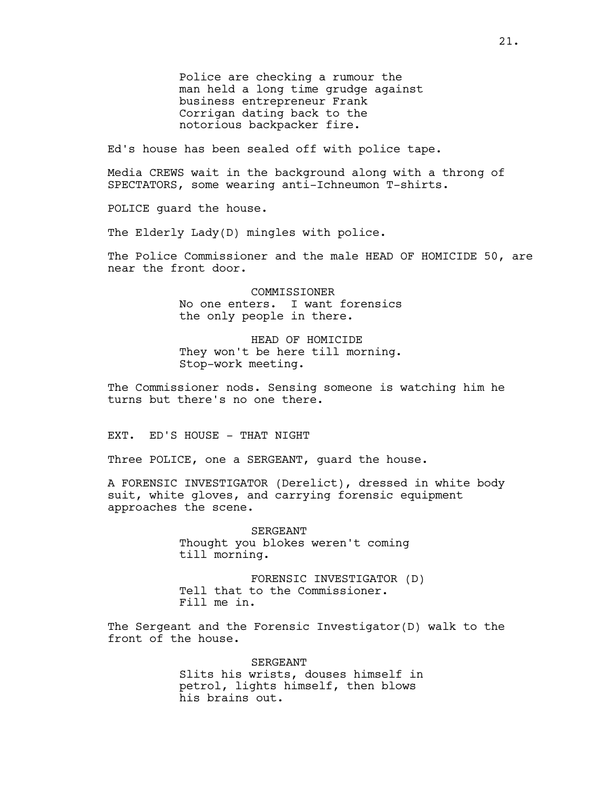Police are checking a rumour the man held a long time grudge against business entrepreneur Frank Corrigan dating back to the notorious backpacker fire.

Ed's house has been sealed off with police tape.

Media CREWS wait in the background along with a throng of SPECTATORS, some wearing anti-Ichneumon T-shirts.

POLICE guard the house.

The Elderly Lady(D) mingles with police.

The Police Commissioner and the male HEAD OF HOMICIDE 50, are near the front door.

> COMMISSIONER No one enters. I want forensics the only people in there.

> HEAD OF HOMICIDE They won't be here till morning. Stop-work meeting.

The Commissioner nods. Sensing someone is watching him he turns but there's no one there.

EXT. ED'S HOUSE - THAT NIGHT

Three POLICE, one a SERGEANT, quard the house.

A FORENSIC INVESTIGATOR (Derelict), dressed in white body suit, white gloves, and carrying forensic equipment approaches the scene.

> SERGEANT Thought you blokes weren't coming till morning.

FORENSIC INVESTIGATOR (D) Tell that to the Commissioner. Fill me in.

The Sergeant and the Forensic Investigator(D) walk to the front of the house.

> SERGEANT Slits his wrists, douses himself in petrol, lights himself, then blows his brains out.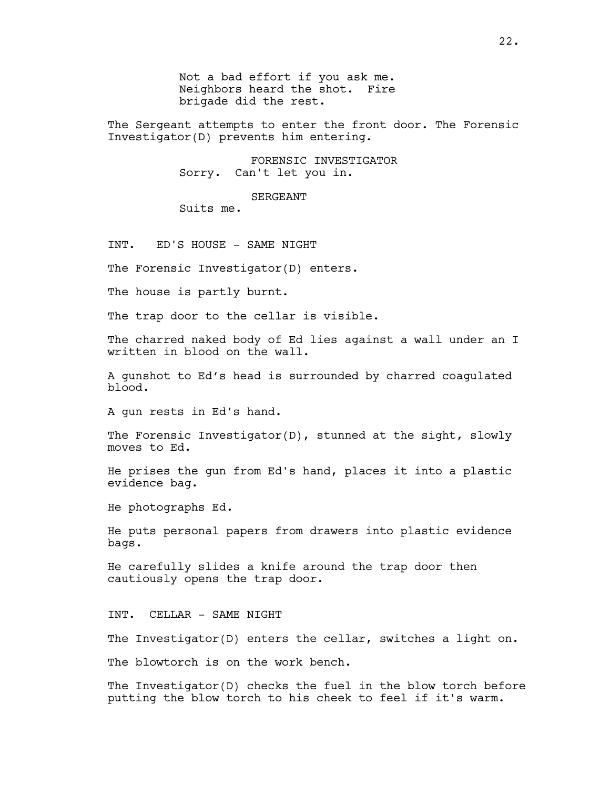Not a bad effort if you ask me. Neighbors heard the shot. Fire brigade did the rest.

The Sergeant attempts to enter the front door. The Forensic Investigator(D) prevents him entering.

> FORENSIC INVESTIGATOR Sorry. Can't let you in.

> > SERGEANT

Suits me.

INT. ED'S HOUSE - SAME NIGHT

The Forensic Investigator(D) enters.

The house is partly burnt.

The trap door to the cellar is visible.

The charred naked body of Ed lies against a wall under an I written in blood on the wall.

A gunshot to Ed's head is surrounded by charred coagulated blood.

A gun rests in Ed's hand.

The Forensic Investigator(D), stunned at the sight, slowly moves to Ed.

He prises the gun from Ed's hand, places it into a plastic evidence bag.

He photographs Ed.

He puts personal papers from drawers into plastic evidence bags.

He carefully slides a knife around the trap door then cautiously opens the trap door.

INT. CELLAR - SAME NIGHT

The Investigator(D) enters the cellar, switches a light on.

The blowtorch is on the work bench.

The Investigator(D) checks the fuel in the blow torch before putting the blow torch to his cheek to feel if it's warm.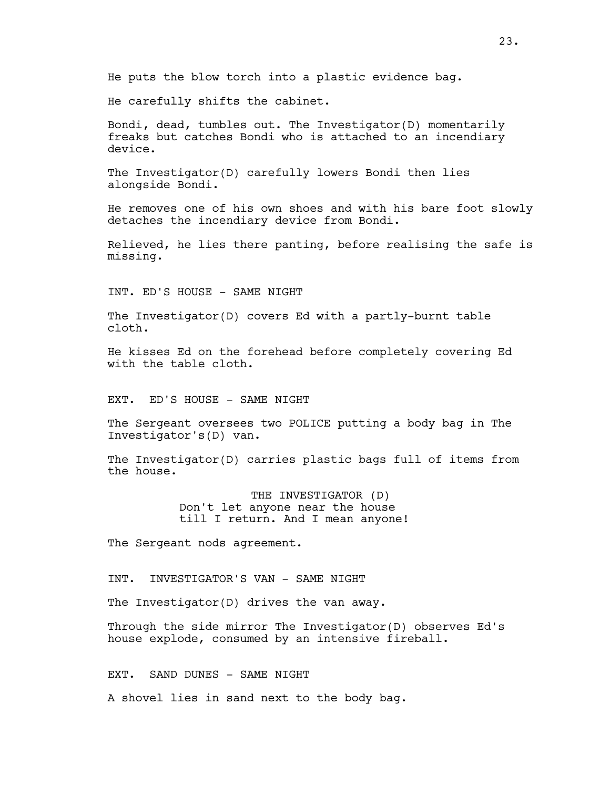He puts the blow torch into a plastic evidence bag.

He carefully shifts the cabinet.

Bondi, dead, tumbles out. The Investigator(D) momentarily freaks but catches Bondi who is attached to an incendiary device.

The Investigator(D) carefully lowers Bondi then lies alongside Bondi.

He removes one of his own shoes and with his bare foot slowly detaches the incendiary device from Bondi.

Relieved, he lies there panting, before realising the safe is missing.

INT. ED'S HOUSE - SAME NIGHT

The Investigator(D) covers Ed with a partly-burnt table cloth.

He kisses Ed on the forehead before completely covering Ed with the table cloth.

EXT. ED'S HOUSE - SAME NIGHT

The Sergeant oversees two POLICE putting a body bag in The Investigator's(D) van.

The Investigator(D) carries plastic bags full of items from the house.

> THE INVESTIGATOR (D) Don't let anyone near the house till I return. And I mean anyone!

The Sergeant nods agreement.

INT. INVESTIGATOR'S VAN - SAME NIGHT

The Investigator(D) drives the van away.

Through the side mirror The Investigator(D) observes Ed's house explode, consumed by an intensive fireball.

EXT. SAND DUNES - SAME NIGHT

A shovel lies in sand next to the body bag.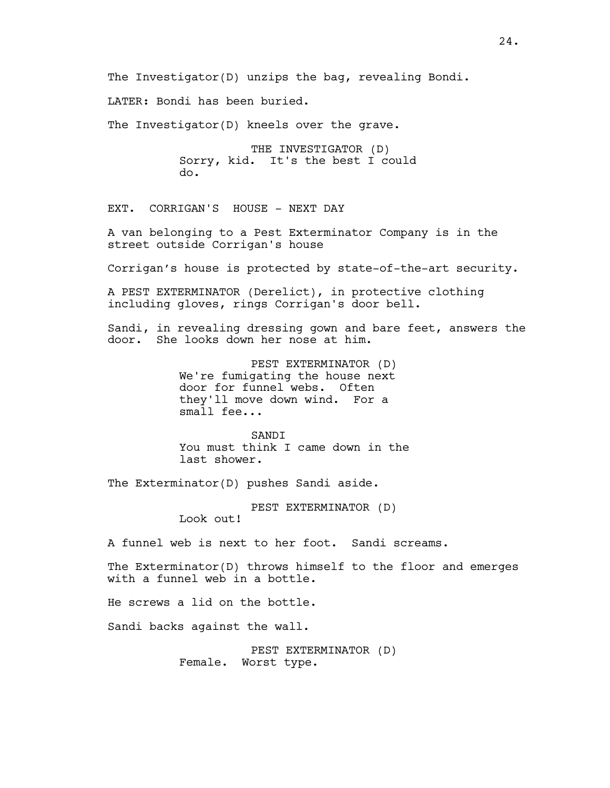The Investigator(D) unzips the bag, revealing Bondi. LATER: Bondi has been buried. The Investigator(D) kneels over the grave. THE INVESTIGATOR (D) Sorry, kid. It's the best I could do. EXT. CORRIGAN'S HOUSE - NEXT DAY A van belonging to a Pest Exterminator Company is in the street outside Corrigan's house Corrigan's house is protected by state-of-the-art security. A PEST EXTERMINATOR (Derelict), in protective clothing including gloves, rings Corrigan's door bell. Sandi, in revealing dressing gown and bare feet, answers the door. She looks down her nose at him. PEST EXTERMINATOR (D) We're fumigating the house next door for funnel webs. Often they'll move down wind. For a small fee... **SANDI** You must think I came down in the last shower. The Exterminator(D) pushes Sandi aside. PEST EXTERMINATOR (D) Look out! A funnel web is next to her foot. Sandi screams. The Exterminator(D) throws himself to the floor and emerges with a funnel web in a bottle. He screws a lid on the bottle. Sandi backs against the wall. PEST EXTERMINATOR (D)

Female. Worst type.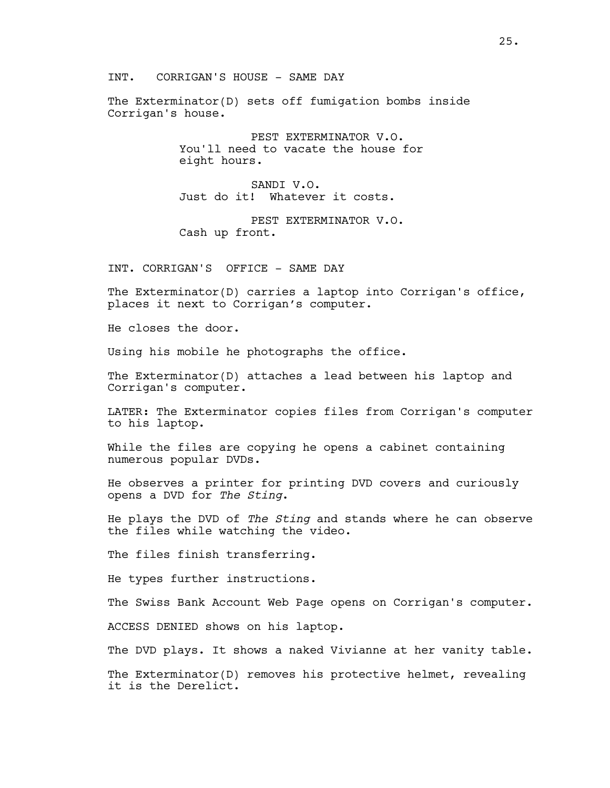INT. CORRIGAN'S HOUSE - SAME DAY

The Exterminator(D) sets off fumigation bombs inside Corrigan's house.

> PEST EXTERMINATOR V.O. You'll need to vacate the house for eight hours.

SANDI V.O. Just do it! Whatever it costs.

PEST EXTERMINATOR V.O. Cash up front.

INT. CORRIGAN'S OFFICE - SAME DAY

The Exterminator(D) carries a laptop into Corrigan's office, places it next to Corrigan's computer.

He closes the door.

Using his mobile he photographs the office.

The Exterminator(D) attaches a lead between his laptop and Corrigan's computer.

LATER: The Exterminator copies files from Corrigan's computer to his laptop.

While the files are copying he opens a cabinet containing numerous popular DVDs.

He observes a printer for printing DVD covers and curiously opens a DVD for The Sting.

He plays the DVD of The Sting and stands where he can observe the files while watching the video.

The files finish transferring.

He types further instructions.

The Swiss Bank Account Web Page opens on Corrigan's computer.

ACCESS DENIED shows on his laptop.

The DVD plays. It shows a naked Vivianne at her vanity table.

The Exterminator(D) removes his protective helmet, revealing it is the Derelict.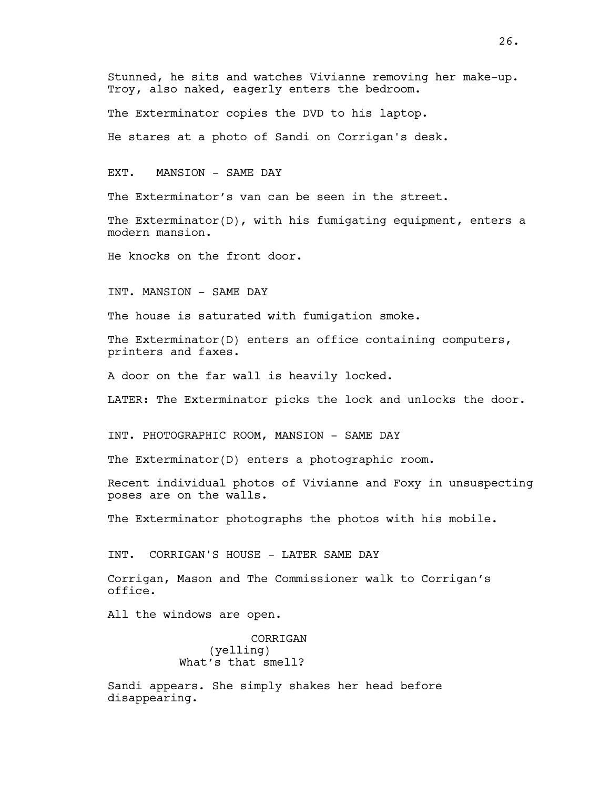Stunned, he sits and watches Vivianne removing her make-up. Troy, also naked, eagerly enters the bedroom.

The Exterminator copies the DVD to his laptop.

He stares at a photo of Sandi on Corrigan's desk.

EXT. MANSION - SAME DAY

The Exterminator's van can be seen in the street.

The Exterminator(D), with his fumigating equipment, enters a modern mansion.

He knocks on the front door.

INT. MANSION - SAME DAY

The house is saturated with fumigation smoke.

The Exterminator(D) enters an office containing computers, printers and faxes.

A door on the far wall is heavily locked.

LATER: The Exterminator picks the lock and unlocks the door.

INT. PHOTOGRAPHIC ROOM, MANSION - SAME DAY

The Exterminator(D) enters a photographic room.

Recent individual photos of Vivianne and Foxy in unsuspecting poses are on the walls.

The Exterminator photographs the photos with his mobile.

INT. CORRIGAN'S HOUSE - LATER SAME DAY

Corrigan, Mason and The Commissioner walk to Corrigan's office.

All the windows are open.

CORRIGAN (yelling) What's that smell?

Sandi appears. She simply shakes her head before disappearing.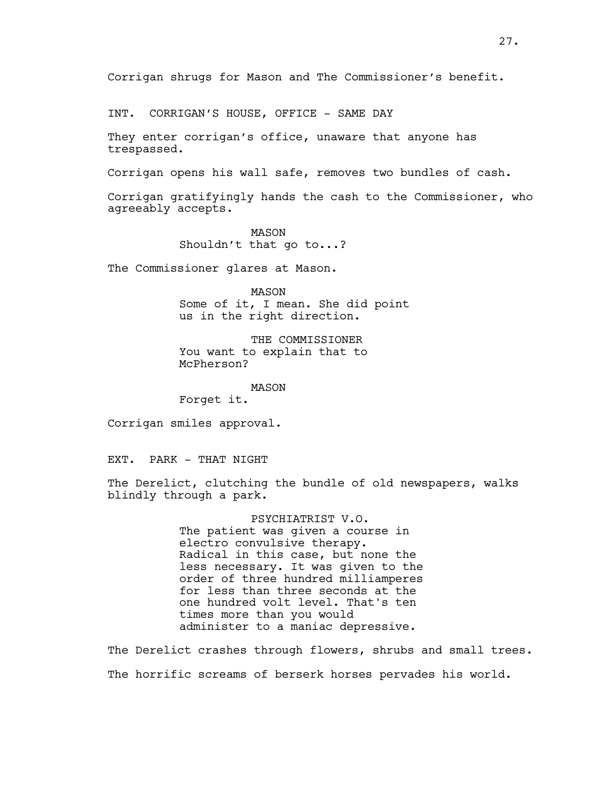INT. CORRIGAN'S HOUSE, OFFICE - SAME DAY

They enter corrigan's office, unaware that anyone has trespassed.

Corrigan opens his wall safe, removes two bundles of cash.

Corrigan gratifyingly hands the cash to the Commissioner, who agreeably accepts.

> MASON Shouldn't that go to...?

The Commissioner glares at Mason.

MASON Some of it, I mean. She did point us in the right direction.

THE COMMISSIONER You want to explain that to McPherson?

MASON Forget it.

Corrigan smiles approval.

EXT. PARK - THAT NIGHT

The Derelict, clutching the bundle of old newspapers, walks blindly through a park.

> PSYCHIATRIST V.O. The patient was given a course in electro convulsive therapy. Radical in this case, but none the less necessary. It was given to the order of three hundred milliamperes for less than three seconds at the one hundred volt level. That's ten times more than you would administer to a maniac depressive.

The Derelict crashes through flowers, shrubs and small trees. The horrific screams of berserk horses pervades his world.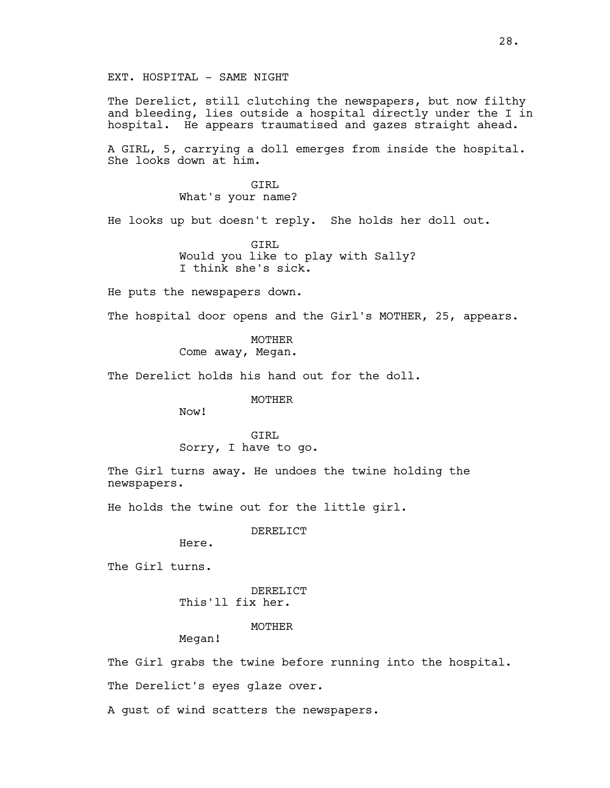EXT. HOSPITAL - SAME NIGHT

The Derelict, still clutching the newspapers, but now filthy and bleeding, lies outside a hospital directly under the I in hospital. He appears traumatised and gazes straight ahead.

A GIRL, 5, carrying a doll emerges from inside the hospital. She looks down at him.

> GTRT. What's your name?

He looks up but doesn't reply. She holds her doll out.

GIRL Would you like to play with Sally? I think she's sick.

He puts the newspapers down.

The hospital door opens and the Girl's MOTHER, 25, appears.

MOTHER

Come away, Megan.

The Derelict holds his hand out for the doll.

# MOTHER

Now!

GIRL Sorry, I have to go.

The Girl turns away. He undoes the twine holding the newspapers.

He holds the twine out for the little girl.

# DERELICT

Here.

The Girl turns.

```
DERELICT 
This'll fix her.
```
MOTHER

Megan!

The Girl grabs the twine before running into the hospital.

The Derelict's eyes glaze over.

A gust of wind scatters the newspapers.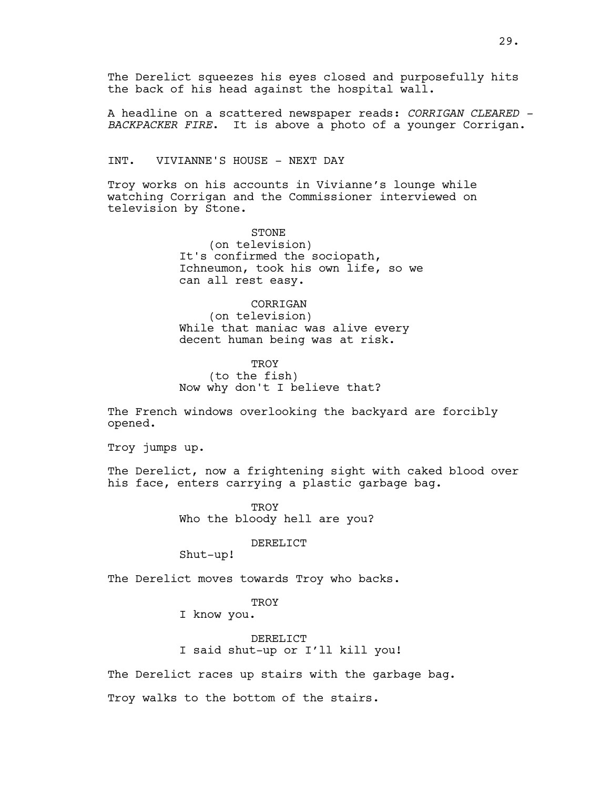The Derelict squeezes his eyes closed and purposefully hits the back of his head against the hospital wall.

A headline on a scattered newspaper reads: CORRIGAN CLEARED -BACKPACKER FIRE. It is above a photo of a younger Corrigan.

INT. VIVIANNE'S HOUSE - NEXT DAY

Troy works on his accounts in Vivianne's lounge while watching Corrigan and the Commissioner interviewed on television by Stone.

> STONE (on television) It's confirmed the sociopath, Ichneumon, took his own life, so we can all rest easy.

CORRIGAN (on television) While that maniac was alive every decent human being was at risk.

**TROY** (to the fish) Now why don't I believe that?

The French windows overlooking the backyard are forcibly opened.

Troy jumps up.

The Derelict, now a frightening sight with caked blood over his face, enters carrying a plastic garbage bag.

> **TROY** Who the bloody hell are you?

> > DERELICT

Shut-up!

The Derelict moves towards Troy who backs.

**TROY** 

I know you.

DERELICT I said shut-up or I'll kill you!

The Derelict races up stairs with the garbage bag.

Troy walks to the bottom of the stairs.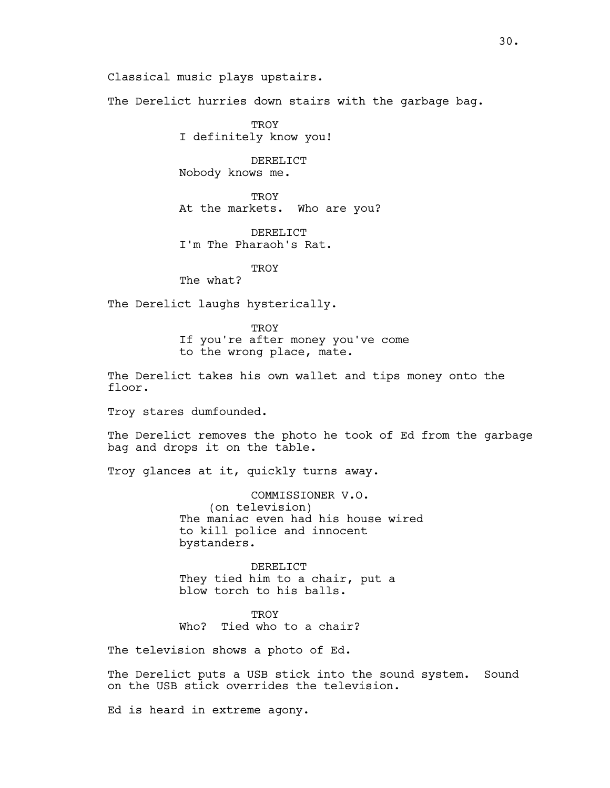Classical music plays upstairs.

The Derelict hurries down stairs with the garbage bag.

**TROY** I definitely know you!

DERELICT Nobody knows me.

**TROY** At the markets. Who are you?

DERELICT I'm The Pharaoh's Rat.

**TROY** 

The what?

The Derelict laughs hysterically.

**TROY** 

If you're after money you've come to the wrong place, mate.

The Derelict takes his own wallet and tips money onto the floor.

Troy stares dumfounded.

The Derelict removes the photo he took of Ed from the garbage bag and drops it on the table.

Troy glances at it, quickly turns away.

COMMISSIONER V.O. (on television) The maniac even had his house wired to kill police and innocent bystanders.

DERELICT They tied him to a chair, put a blow torch to his balls.

**TROY** Who? Tied who to a chair?

The television shows a photo of Ed.

The Derelict puts a USB stick into the sound system. Sound on the USB stick overrides the television.

Ed is heard in extreme agony.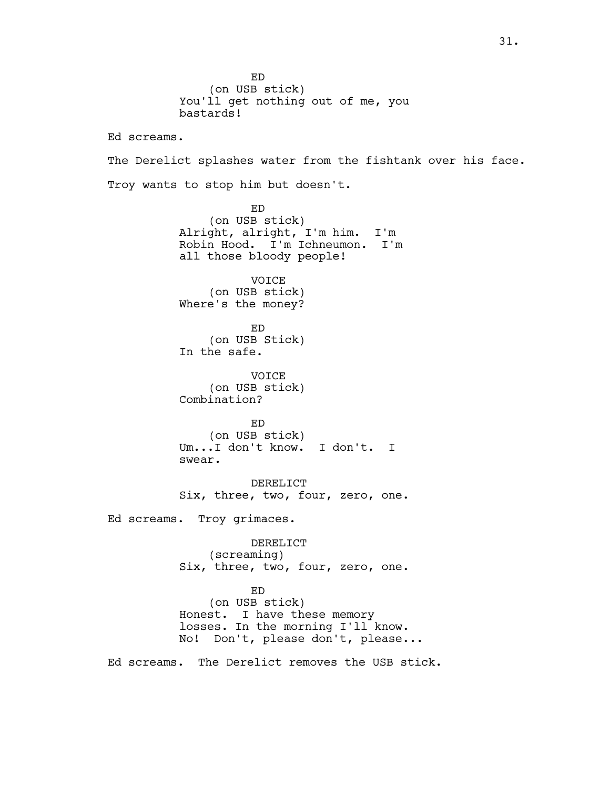ED (on USB stick) You'll get nothing out of me, you bastards! Ed screams. The Derelict splashes water from the fishtank over his face. Troy wants to stop him but doesn't. ED (on USB stick) Alright, alright, I'm him. I'm Robin Hood. I'm Ichneumon. I'm all those bloody people! VOICE (on USB stick) Where's the money? ED (on USB Stick) In the safe. VOICE (on USB stick) Combination? ED (on USB stick) Um...I don't know. I don't. I swear. DERELICT Six, three, two, four, zero, one. Ed screams. Troy grimaces. DERELICT (screaming) Six, three, two, four, zero, one. ED (on USB stick) Honest. I have these memory losses. In the morning I'll know. No! Don't, please don't, please... Ed screams. The Derelict removes the USB stick.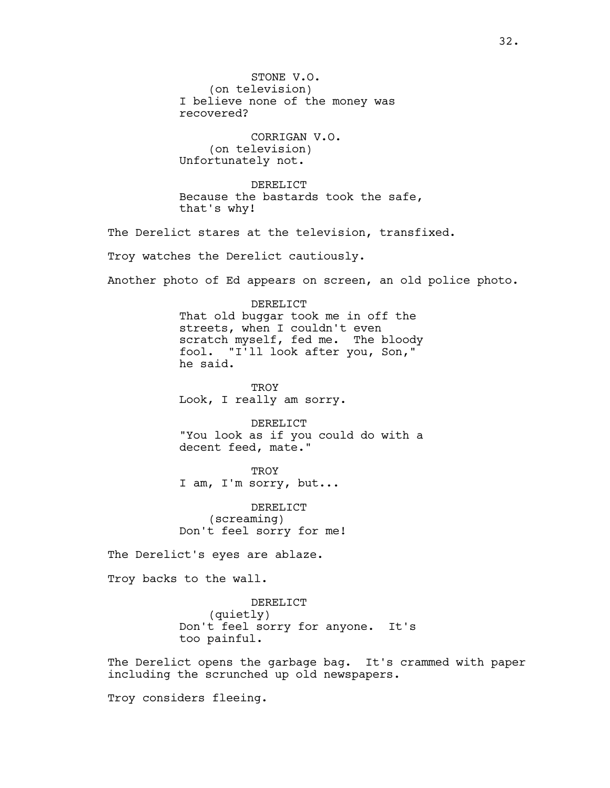STONE V.O. (on television) I believe none of the money was recovered? CORRIGAN V.O. (on television) Unfortunately not. DERELICT Because the bastards took the safe, that's why! The Derelict stares at the television, transfixed. Troy watches the Derelict cautiously. Another photo of Ed appears on screen, an old police photo. DERELICT That old buggar took me in off the streets, when I couldn't even scratch myself, fed me. The bloody fool. "I'll look after you, Son," he said. TROY Look, I really am sorry. DERELICT "You look as if you could do with a decent feed, mate." **TROY** I am, I'm sorry, but... DERELICT (screaming) Don't feel sorry for me! The Derelict's eyes are ablaze. Troy backs to the wall. DERELICT (quietly) Don't feel sorry for anyone. It's too painful. The Derelict opens the garbage bag. It's crammed with paper including the scrunched up old newspapers. Troy considers fleeing.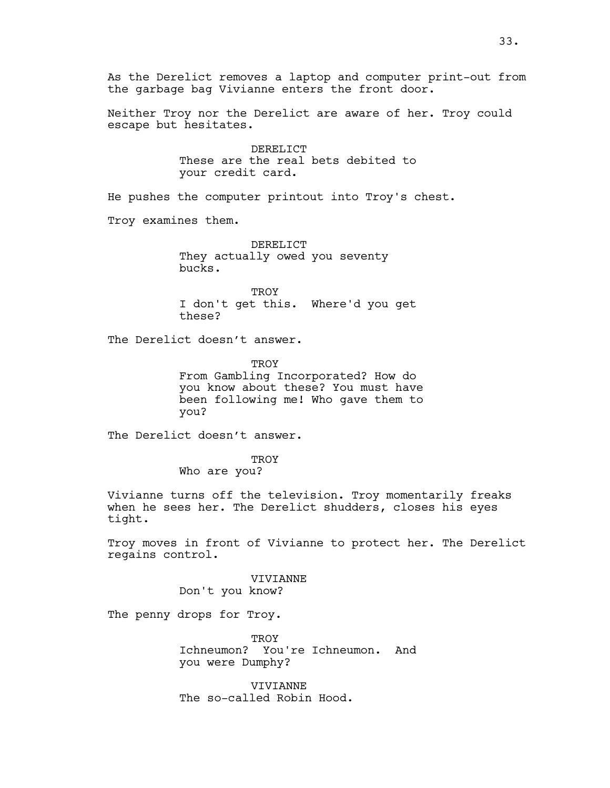As the Derelict removes a laptop and computer print-out from the garbage bag Vivianne enters the front door.

Neither Troy nor the Derelict are aware of her. Troy could escape but hesitates.

> DERELICT These are the real bets debited to your credit card.

He pushes the computer printout into Troy's chest.

Troy examines them.

DERELICT They actually owed you seventy bucks.

**TROY** I don't get this. Where'd you get these?

The Derelict doesn't answer.

TROY From Gambling Incorporated? How do you know about these? You must have been following me! Who gave them to you?

The Derelict doesn't answer.

**TROY** Who are you?

Vivianne turns off the television. Troy momentarily freaks when he sees her. The Derelict shudders, closes his eyes tight.

Troy moves in front of Vivianne to protect her. The Derelict regains control.

VIVIANNE

Don't you know?

The penny drops for Troy.

**TROY** Ichneumon? You're Ichneumon. And you were Dumphy?

VIVIANNE The so-called Robin Hood.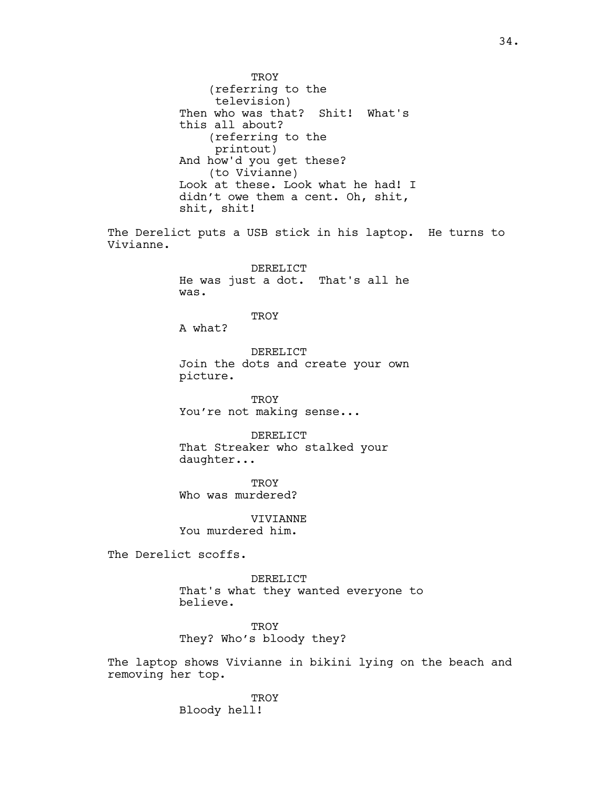TROY (referring to the television) Then who was that? Shit! What's this all about? (referring to the printout) And how'd you get these? (to Vivianne) Look at these. Look what he had! I didn't owe them a cent. Oh, shit, shit, shit! The Derelict puts a USB stick in his laptop. He turns to Vivianne. DERELICT He was just a dot. That's all he was. **TROY** A what? DERELICT Join the dots and create your own picture. **TROY** You're not making sense... DERELICT That Streaker who stalked your daughter... **TROY** Who was murdered? VIVIANNE You murdered him. The Derelict scoffs. DERELICT That's what they wanted everyone to believe. **TROY** They? Who's bloody they? The laptop shows Vivianne in bikini lying on the beach and removing her top.

> **TROY** Bloody hell!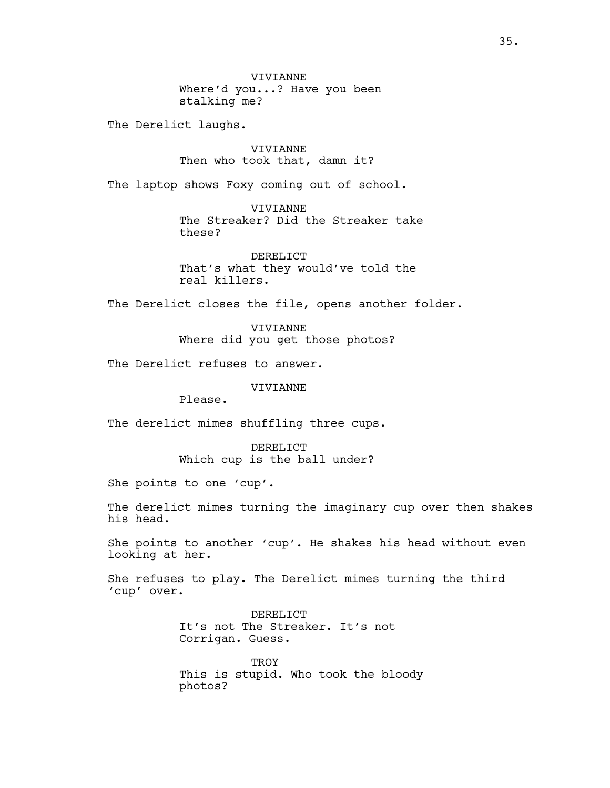VIVIANNE Where'd you...? Have you been stalking me?

The Derelict laughs.

VIVIANNE Then who took that, damn it?

The laptop shows Foxy coming out of school.

VIVIANNE The Streaker? Did the Streaker take these?

DERELICT That's what they would've told the real killers.

The Derelict closes the file, opens another folder.

VIVIANNE Where did you get those photos?

The Derelict refuses to answer.

VIVIANNE

Please.

The derelict mimes shuffling three cups.

DERELICT Which cup is the ball under?

She points to one 'cup'.

The derelict mimes turning the imaginary cup over then shakes his head.

She points to another 'cup'. He shakes his head without even looking at her.

She refuses to play. The Derelict mimes turning the third 'cup' over.

> DERELICT It's not The Streaker. It's not Corrigan. Guess.

**TROY** This is stupid. Who took the bloody photos?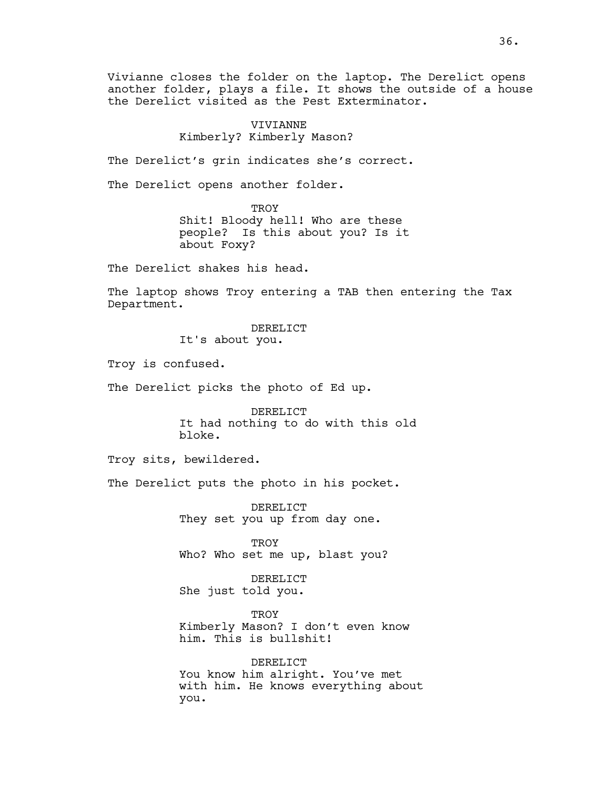Vivianne closes the folder on the laptop. The Derelict opens another folder, plays a file. It shows the outside of a house the Derelict visited as the Pest Exterminator.

# VIVIANNE Kimberly? Kimberly Mason?

The Derelict's grin indicates she's correct.

The Derelict opens another folder.

**TROY** Shit! Bloody hell! Who are these people? Is this about you? Is it about Foxy?

The Derelict shakes his head.

The laptop shows Troy entering a TAB then entering the Tax Department.

> DERELICT It's about you.

Troy is confused.

The Derelict picks the photo of Ed up.

DERELICT It had nothing to do with this old bloke.

Troy sits, bewildered.

The Derelict puts the photo in his pocket.

DERELICT They set you up from day one.

TROY Who? Who set me up, blast you?

DERELICT She just told you.

**TROY** Kimberly Mason? I don't even know him. This is bullshit!

DERELICT You know him alright. You've met with him. He knows everything about you.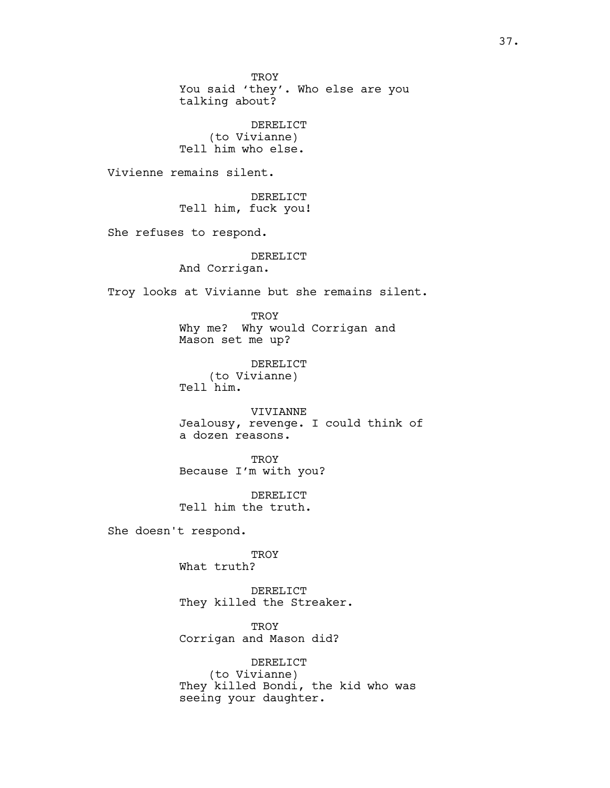**TROY** You said 'they'. Who else are you talking about? DERELICT (to Vivianne) Tell him who else. Vivienne remains silent. DERELICT Tell him, fuck you! She refuses to respond. DERELICT And Corrigan. Troy looks at Vivianne but she remains silent. **TROY** Why me? Why would Corrigan and Mason set me up? DERELICT (to Vivianne) Tell him. VIVIANNE Jealousy, revenge. I could think of a dozen reasons. TROY Because I'm with you? DERELICT Tell him the truth. She doesn't respond. **TROY** What truth? DERELICT They killed the Streaker. TROY Corrigan and Mason did? DERELICT (to Vivianne) They killed Bondi, the kid who was seeing your daughter.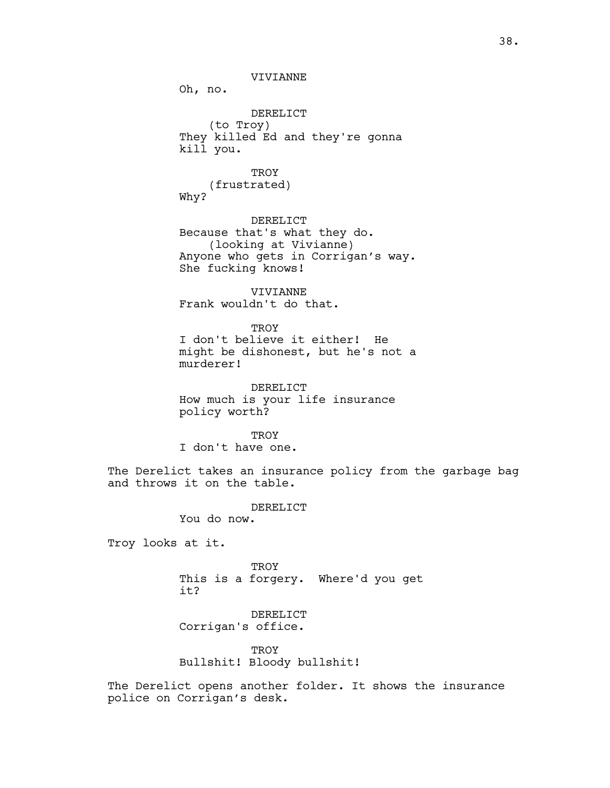VIVIANNE

Oh, no.

DERELICT (to Troy) They killed Ed and they're gonna kill you.

**TROY** (frustrated) Why?

DERELICT Because that's what they do. (looking at Vivianne) Anyone who gets in Corrigan's way. She fucking knows!

VIVIANNE Frank wouldn't do that.

**TROY** 

I don't believe it either! He might be dishonest, but he's not a murderer!

DERELICT How much is your life insurance policy worth?

**TROY** I don't have one.

The Derelict takes an insurance policy from the garbage bag and throws it on the table.

DERELICT

You do now.

Troy looks at it.

**TROY** This is a forgery. Where'd you get it?

DERELICT Corrigan's office.

**TROY** Bullshit! Bloody bullshit!

The Derelict opens another folder. It shows the insurance police on Corrigan's desk.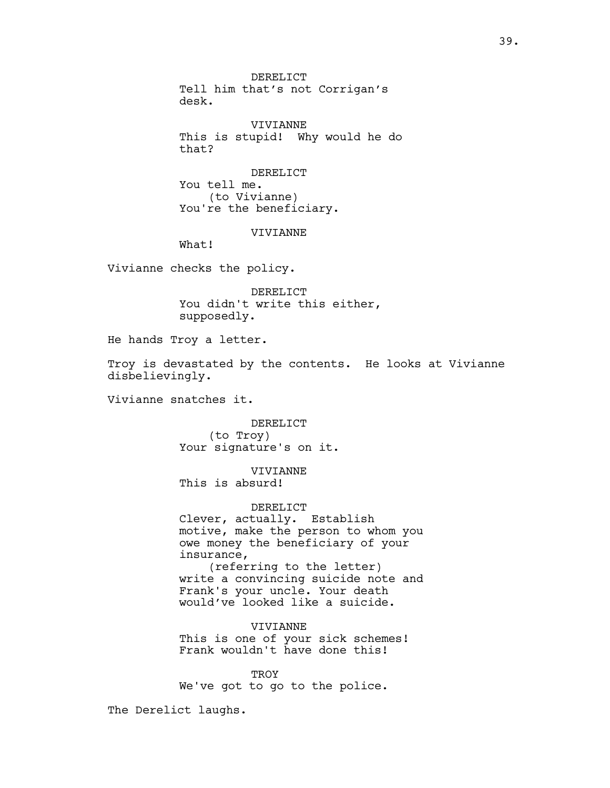DERELICT Tell him that's not Corrigan's desk.

VIVIANNE This is stupid! Why would he do that?

DERELICT You tell me. (to Vivianne) You're the beneficiary.

VIVIANNE

What!

Vivianne checks the policy.

DERELICT You didn't write this either, supposedly.

He hands Troy a letter.

Troy is devastated by the contents. He looks at Vivianne disbelievingly.

Vivianne snatches it.

DERELICT (to Troy) Your signature's on it.

VIVIANNE This is absurd!

DERELICT

Clever, actually. Establish motive, make the person to whom you owe money the beneficiary of your insurance, (referring to the letter) write a convincing suicide note and Frank's your uncle. Your death would've looked like a suicide.

VIVIANNE This is one of your sick schemes! Frank wouldn't have done this!

**TROY** We've got to go to the police.

The Derelict laughs.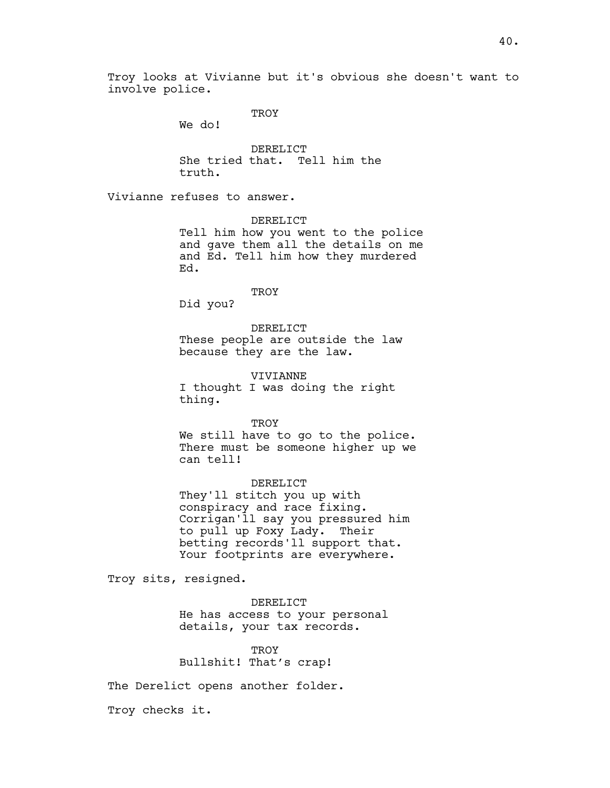Troy looks at Vivianne but it's obvious she doesn't want to involve police.

**TROY** 

We do!

DERELICT She tried that. Tell him the truth.

Vivianne refuses to answer.

DERELICT

Tell him how you went to the police and gave them all the details on me and Ed. Tell him how they murdered Ed.

**TROY** 

Did you?

DERELICT These people are outside the law because they are the law.

VIVIANNE I thought I was doing the right thing.

TROY We still have to go to the police. There must be someone higher up we can tell!

DERELICT They'll stitch you up with conspiracy and race fixing. Corrigan'll say you pressured him to pull up Foxy Lady. Their betting records'll support that. Your footprints are everywhere.

Troy sits, resigned.

DERELICT He has access to your personal details, your tax records.

**TROY** Bullshit! That's crap!

The Derelict opens another folder.

Troy checks it.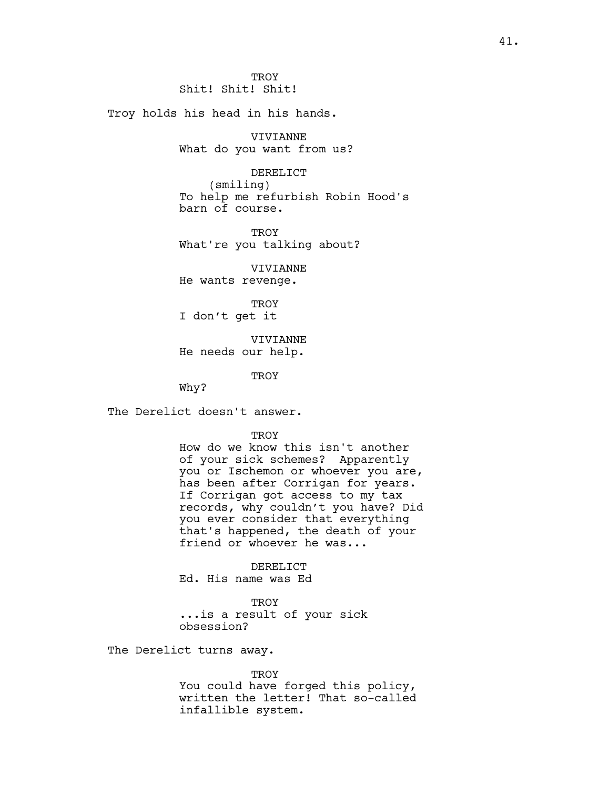Troy holds his head in his hands.

VIVIANNE What do you want from us?

DERELICT (smiling) To help me refurbish Robin Hood's barn of course.

TROY What're you talking about?

VIVIANNE He wants revenge.

**TROY** I don't get it

VIVIANNE He needs our help.

**TROY** 

Why?

The Derelict doesn't answer.

TROY

How do we know this isn't another of your sick schemes? Apparently you or Ischemon or whoever you are, has been after Corrigan for years. If Corrigan got access to my tax records, why couldn't you have? Did you ever consider that everything that's happened, the death of your friend or whoever he was...

DERELICT Ed. His name was Ed

**TROY** ...is a result of your sick obsession?

The Derelict turns away.

TROY

You could have forged this policy, written the letter! That so-called infallible system.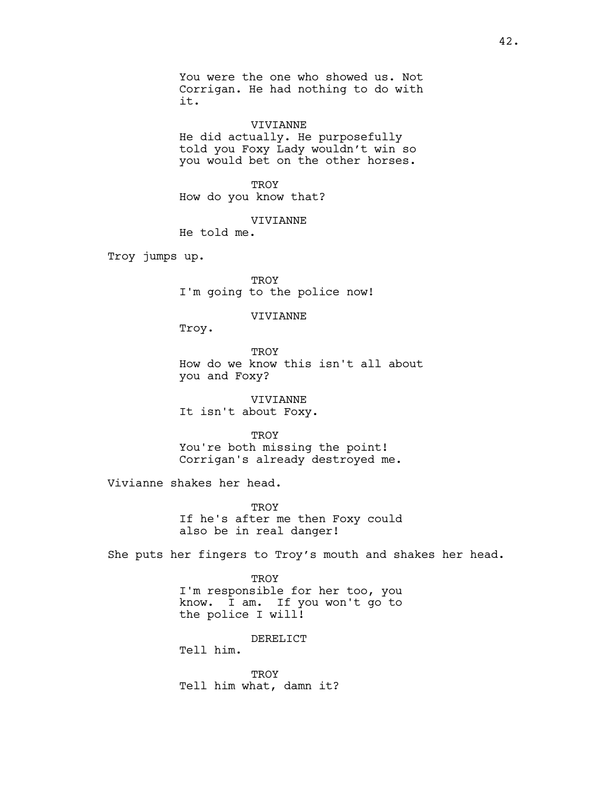You were the one who showed us. Not Corrigan. He had nothing to do with it.

VIVIANNE He did actually. He purposefully told you Foxy Lady wouldn't win so you would bet on the other horses.

**TROY** How do you know that?

VIVIANNE

He told me.

Troy jumps up.

TROY I'm going to the police now!

### VIVIANNE

Troy.

**TROY** How do we know this isn't all about you and Foxy?

VIVIANNE It isn't about Foxy.

**TROY** You're both missing the point! Corrigan's already destroyed me.

Vivianne shakes her head.

TROY If he's after me then Foxy could also be in real danger!

She puts her fingers to Troy's mouth and shakes her head.

**TROY** I'm responsible for her too, you know. I am. If you won't go to the police I will!

DERELICT

Tell him.

**TROY** Tell him what, damn it?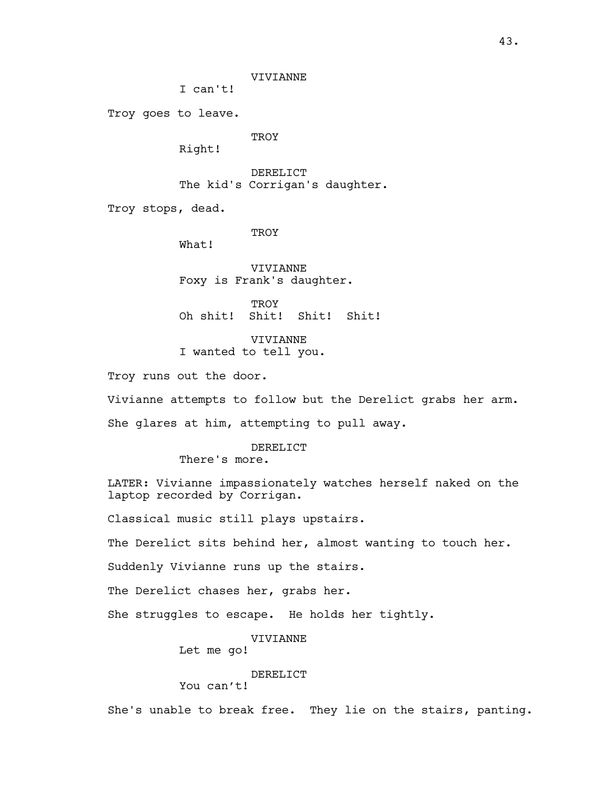I can't!

Troy goes to leave.

**TROY** 

Right!

DERELICT The kid's Corrigan's daughter.

Troy stops, dead.

TROY

What!

VIVIANNE Foxy is Frank's daughter.

**TROY** Oh shit! Shit! Shit! Shit!

VIVIANNE I wanted to tell you.

Troy runs out the door.

Vivianne attempts to follow but the Derelict grabs her arm.

She glares at him, attempting to pull away.

# DERELICT

There's more.

LATER: Vivianne impassionately watches herself naked on the laptop recorded by Corrigan.

Classical music still plays upstairs.

The Derelict sits behind her, almost wanting to touch her.

Suddenly Vivianne runs up the stairs.

The Derelict chases her, grabs her.

She struggles to escape. He holds her tightly.

# VIVIANNE

Let me go!

# DERELICT

You can't!

She's unable to break free. They lie on the stairs, panting.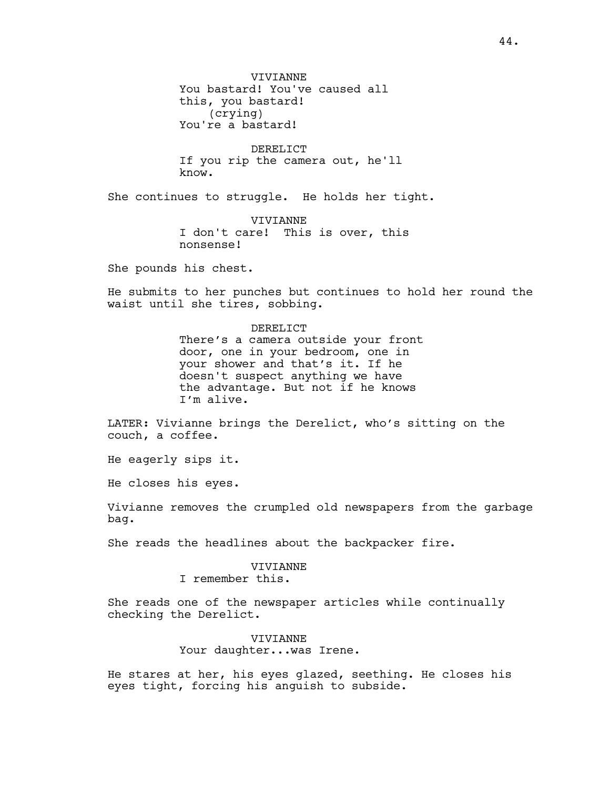DERELICT If you rip the camera out, he'll know.

She continues to struggle. He holds her tight.

VIVIANNE I don't care! This is over, this nonsense!

She pounds his chest.

He submits to her punches but continues to hold her round the waist until she tires, sobbing.

# DERELICT There's a camera outside your front door, one in your bedroom, one in your shower and that's it. If he doesn't suspect anything we have the advantage. But not if he knows I'm alive.

LATER: Vivianne brings the Derelict, who's sitting on the couch, a coffee.

He eagerly sips it.

He closes his eyes.

Vivianne removes the crumpled old newspapers from the garbage bag.

She reads the headlines about the backpacker fire.

# VIVIANNE

I remember this.

She reads one of the newspaper articles while continually checking the Derelict.

# VIVIANNE Your daughter...was Irene.

He stares at her, his eyes glazed, seething. He closes his eyes tight, forcing his anguish to subside.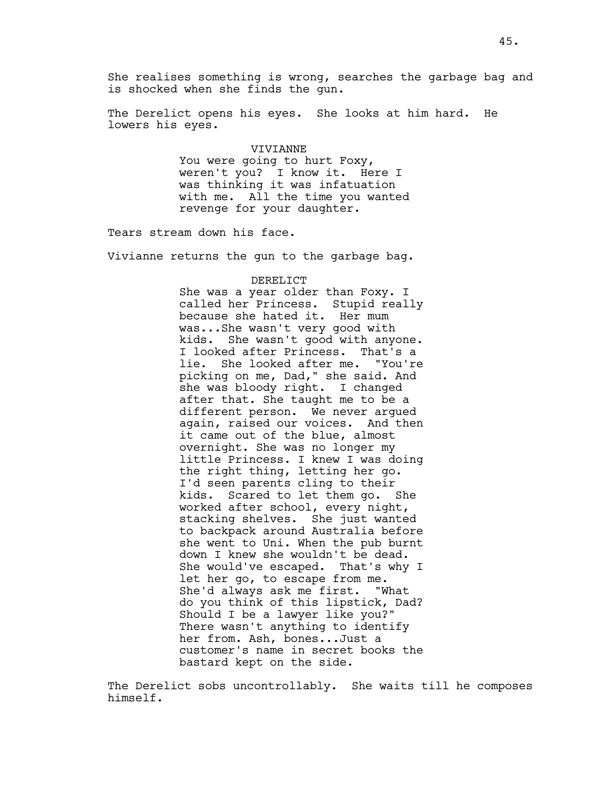She realises something is wrong, searches the garbage bag and is shocked when she finds the gun.

The Derelict opens his eyes. She looks at him hard. He lowers his eyes.

### VIVIANNE

You were going to hurt Foxy, weren't you? I know it. Here I was thinking it was infatuation with me. All the time you wanted revenge for your daughter.

Tears stream down his face.

Vivianne returns the gun to the garbage bag.

#### DERELICT

She was a year older than Foxy. I called her Princess. Stupid really because she hated it. Her mum was...She wasn't very good with kids. She wasn't good with anyone. I looked after Princess. That's a<br>lie. She looked after me. "You're lie. She looked after me. picking on me, Dad," she said. And she was bloody right. I changed after that. She taught me to be a different person. We never argued again, raised our voices. And then it came out of the blue, almost overnight. She was no longer my little Princess. I knew I was doing the right thing, letting her go. I'd seen parents cling to their kids. Scared to let them go. She worked after school, every night, stacking shelves. She just wanted to backpack around Australia before she went to Uni. When the pub burnt down I knew she wouldn't be dead. She would've escaped. That's why I let her go, to escape from me. She'd always ask me first. "What do you think of this lipstick, Dad? Should I be a lawyer like you?" There wasn't anything to identify her from. Ash, bones...Just a customer's name in secret books the bastard kept on the side.

The Derelict sobs uncontrollably. She waits till he composes himself.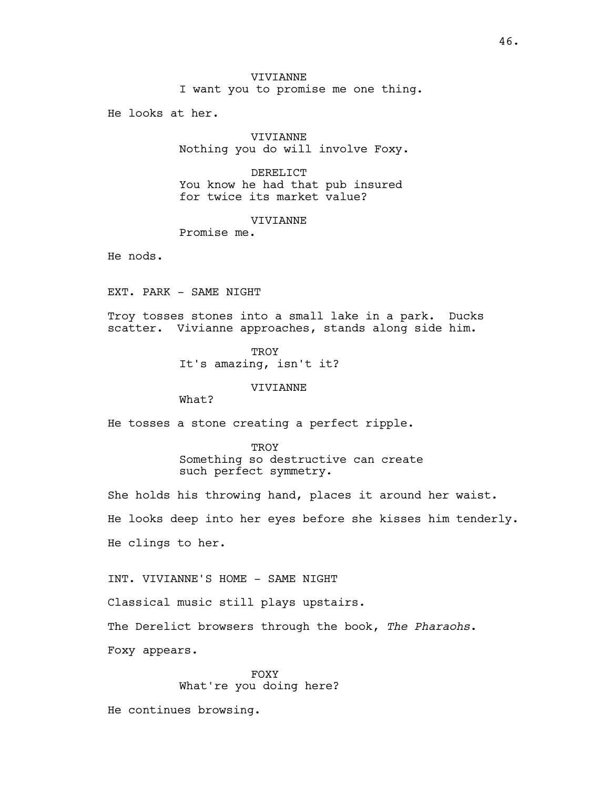I want you to promise me one thing.

He looks at her.

VIVIANNE Nothing you do will involve Foxy.

DERELICT You know he had that pub insured for twice its market value?

VIVIANNE

Promise me.

He nods.

EXT. PARK - SAME NIGHT

Troy tosses stones into a small lake in a park. Ducks scatter. Vivianne approaches, stands along side him.

> **TROY** It's amazing, isn't it?

> > VIVIANNE

What?

He tosses a stone creating a perfect ripple.

TROY Something so destructive can create such perfect symmetry.

She holds his throwing hand, places it around her waist. He looks deep into her eyes before she kisses him tenderly. He clings to her.

INT. VIVIANNE'S HOME - SAME NIGHT

Classical music still plays upstairs.

The Derelict browsers through the book, The Pharaohs.

Foxy appears.

FOXY What're you doing here?

He continues browsing.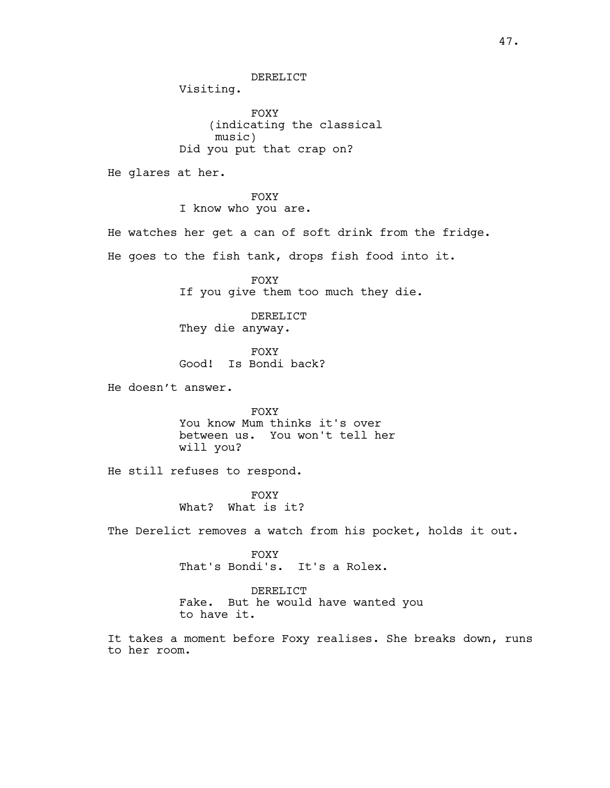DERELICT

Visiting.

FOXY (indicating the classical music) Did you put that crap on?

He glares at her.

FOXY I know who you are.

He watches her get a can of soft drink from the fridge. He goes to the fish tank, drops fish food into it.

> FOXY If you give them too much they die.

DERELICT They die anyway.

FOXY Good! Is Bondi back?

He doesn't answer.

FOXY You know Mum thinks it's over between us. You won't tell her will you?

He still refuses to respond.

FOXY What? What is it?

The Derelict removes a watch from his pocket, holds it out.

FOXY

That's Bondi's. It's a Rolex.

DERELICT Fake. But he would have wanted you to have it.

It takes a moment before Foxy realises. She breaks down, runs to her room.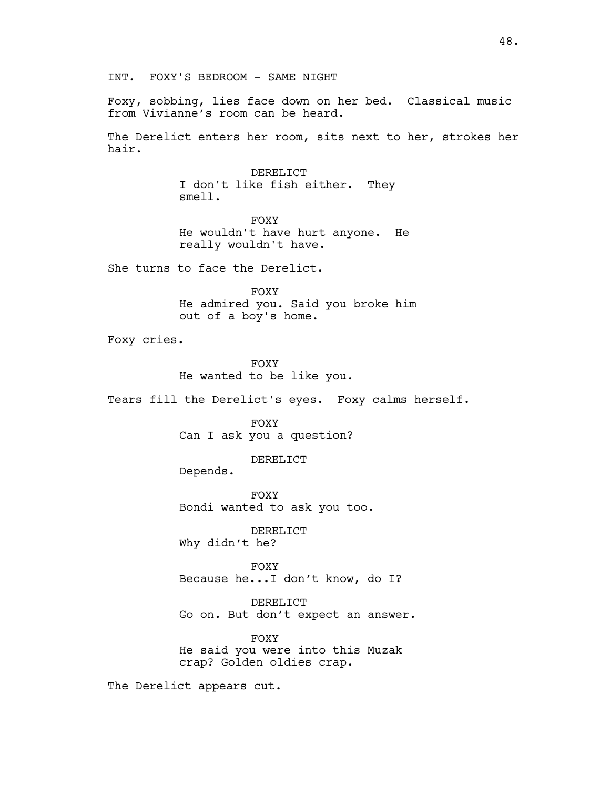Foxy, sobbing, lies face down on her bed. Classical music from Vivianne's room can be heard.

The Derelict enters her room, sits next to her, strokes her hair.

> DERELICT I don't like fish either. They smell.

FOXY He wouldn't have hurt anyone. He really wouldn't have.

She turns to face the Derelict.

FOXY He admired you. Said you broke him out of a boy's home.

Foxy cries.

FOXY He wanted to be like you.

Tears fill the Derelict's eyes. Foxy calms herself.

FOXY Can I ask you a question?

DERELICT

Depends.

FOXY Bondi wanted to ask you too.

DERELICT Why didn't he?

FOXY Because he...I don't know, do I?

DERELICT Go on. But don't expect an answer.

FOXY He said you were into this Muzak crap? Golden oldies crap.

The Derelict appears cut.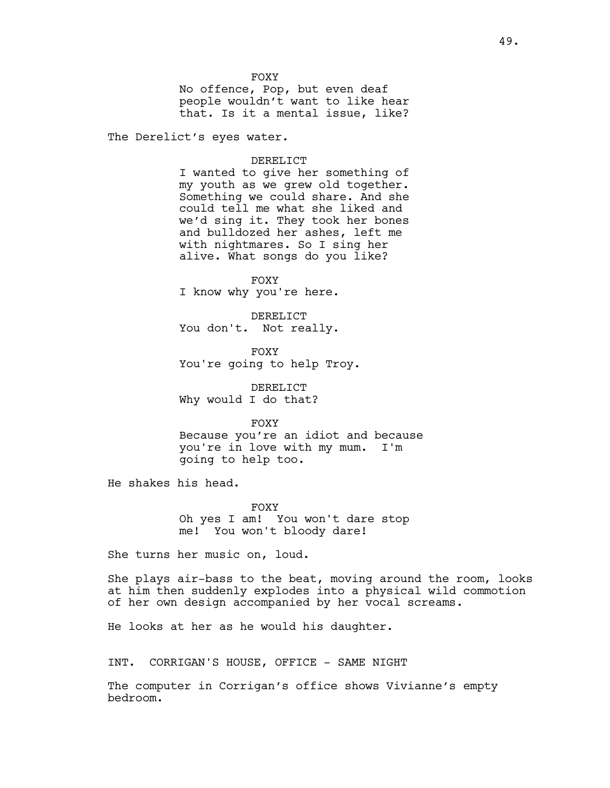**FOXY** No offence, Pop, but even deaf people wouldn't want to like hear that. Is it a mental issue, like?

The Derelict's eyes water.

# DERELICT

I wanted to give her something of my youth as we grew old together. Something we could share. And she could tell me what she liked and we'd sing it. They took her bones and bulldozed her ashes, left me with nightmares. So I sing her alive. What songs do you like?

FOXY I know why you're here.

DERELICT You don't. Not really.

FOXY You're going to help Troy.

DERELICT Why would I do that?

FOXY Because you're an idiot and because you're in love with my mum. I'm going to help too.

He shakes his head.

FOXY Oh yes I am! You won't dare stop me! You won't bloody dare!

She turns her music on, loud.

She plays air-bass to the beat, moving around the room, looks at him then suddenly explodes into a physical wild commotion of her own design accompanied by her vocal screams.

He looks at her as he would his daughter.

INT. CORRIGAN'S HOUSE, OFFICE - SAME NIGHT

The computer in Corrigan's office shows Vivianne's empty bedroom.